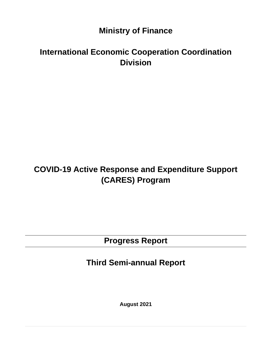# **Ministry of Finance**

# **International Economic Cooperation Coordination Division**

# **COVID-19 Active Response and Expenditure Support (CARES) Program**

**Progress Report** 

**Third Semi-annual Report** 

**August 2021**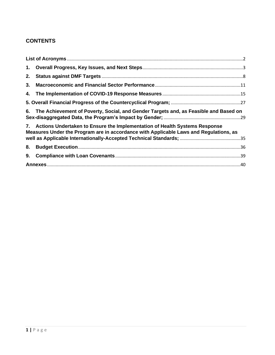# **CONTENTS**

| 1. |                                                                                                                                                                     |  |  |  |
|----|---------------------------------------------------------------------------------------------------------------------------------------------------------------------|--|--|--|
| 2. |                                                                                                                                                                     |  |  |  |
| 3. |                                                                                                                                                                     |  |  |  |
| 4. |                                                                                                                                                                     |  |  |  |
|    |                                                                                                                                                                     |  |  |  |
| 6. | The Achievement of Poverty, Social, and Gender Targets and, as Feasible and Based on                                                                                |  |  |  |
| 7. | Actions Undertaken to Ensure the Implementation of Health Systems Response<br>Measures Under the Program are in accordance with Applicable Laws and Regulations, as |  |  |  |
| 8. |                                                                                                                                                                     |  |  |  |
| 9. |                                                                                                                                                                     |  |  |  |
|    |                                                                                                                                                                     |  |  |  |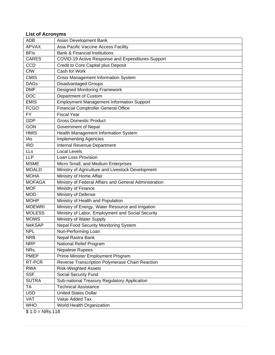# <span id="page-2-0"></span>**List of Acronyms**

| <b>APVAX</b><br>Asia Pacific Vaccine Access Facility<br><b>BFIs</b><br><b>Bank &amp; Financial Institutions</b><br><b>CARES</b><br>COVID-19 Active Response and Expenditures Support<br>CCD<br>Credit to Core Capital plus Deposit<br>CfW<br>Cash for Work<br><b>CMIS</b><br><b>Crisis Management Information System</b><br>Disadvantaged Groups<br><b>DAGs</b><br><b>Designed Monitoring Framework</b><br><b>DMF</b><br>Department of Custom<br><b>DOC</b><br><b>EMIS</b><br><b>Employment Management Information Support</b><br><b>Financial Comptroller General Office</b><br><b>FCGO</b><br><b>FY</b><br><b>Fiscal Year</b><br><b>GDP</b><br><b>Gross Domestic Product</b><br><b>GON</b><br>Government of Nepal<br><b>HMIS</b><br>Health Management Information System<br><b>Implementing Agencies</b><br>IAs<br><b>IRD</b><br>Internal Revenue Department<br>LLs<br><b>Local Levels</b><br><b>LLP</b><br>Loan Loss Provision<br><b>MSME</b><br>Micro Small, and Medium Enterprises<br>Ministry of Agriculture and Livestock Development<br><b>MOALD</b><br>Ministry of Home Affair<br><b>MOHA</b><br>Ministry of Federal Affairs and General Administration<br><b>MOFAGA</b><br>Ministry of Finance<br><b>MOF</b><br><b>MOD</b><br>Ministry of Defense<br>Ministry of Health and Population<br><b>MOHP</b><br>Ministry of Energy, Water Resource and Irrigation<br><b>MOEWRI</b><br>Ministry of Labor, Employment and Social Security<br><b>MOLESS</b><br>Ministry of Water Supply<br><b>MOWS</b><br><b>Nepal Food Security Monitoring System</b><br><b>NeKSAP</b><br><b>NPL</b><br>Non-Performing Loan<br><b>NRB</b><br>Nepal Rastra Bank<br><b>NRP</b><br>National Relief Program<br>NRs.<br><b>Nepalese Rupees</b><br><b>PMEP</b><br>Prime Minister Employment Program<br>RT-PCR<br>Reverse Transcription Polymerase Chain Reaction | <b>ADB</b> | Asian Development Bank      |
|---------------------------------------------------------------------------------------------------------------------------------------------------------------------------------------------------------------------------------------------------------------------------------------------------------------------------------------------------------------------------------------------------------------------------------------------------------------------------------------------------------------------------------------------------------------------------------------------------------------------------------------------------------------------------------------------------------------------------------------------------------------------------------------------------------------------------------------------------------------------------------------------------------------------------------------------------------------------------------------------------------------------------------------------------------------------------------------------------------------------------------------------------------------------------------------------------------------------------------------------------------------------------------------------------------------------------------------------------------------------------------------------------------------------------------------------------------------------------------------------------------------------------------------------------------------------------------------------------------------------------------------------------------------------------------------------------------------------------------------------------------------------------------------------------------------------------------------------|------------|-----------------------------|
|                                                                                                                                                                                                                                                                                                                                                                                                                                                                                                                                                                                                                                                                                                                                                                                                                                                                                                                                                                                                                                                                                                                                                                                                                                                                                                                                                                                                                                                                                                                                                                                                                                                                                                                                                                                                                                             |            |                             |
|                                                                                                                                                                                                                                                                                                                                                                                                                                                                                                                                                                                                                                                                                                                                                                                                                                                                                                                                                                                                                                                                                                                                                                                                                                                                                                                                                                                                                                                                                                                                                                                                                                                                                                                                                                                                                                             |            |                             |
|                                                                                                                                                                                                                                                                                                                                                                                                                                                                                                                                                                                                                                                                                                                                                                                                                                                                                                                                                                                                                                                                                                                                                                                                                                                                                                                                                                                                                                                                                                                                                                                                                                                                                                                                                                                                                                             |            |                             |
|                                                                                                                                                                                                                                                                                                                                                                                                                                                                                                                                                                                                                                                                                                                                                                                                                                                                                                                                                                                                                                                                                                                                                                                                                                                                                                                                                                                                                                                                                                                                                                                                                                                                                                                                                                                                                                             |            |                             |
|                                                                                                                                                                                                                                                                                                                                                                                                                                                                                                                                                                                                                                                                                                                                                                                                                                                                                                                                                                                                                                                                                                                                                                                                                                                                                                                                                                                                                                                                                                                                                                                                                                                                                                                                                                                                                                             |            |                             |
|                                                                                                                                                                                                                                                                                                                                                                                                                                                                                                                                                                                                                                                                                                                                                                                                                                                                                                                                                                                                                                                                                                                                                                                                                                                                                                                                                                                                                                                                                                                                                                                                                                                                                                                                                                                                                                             |            |                             |
|                                                                                                                                                                                                                                                                                                                                                                                                                                                                                                                                                                                                                                                                                                                                                                                                                                                                                                                                                                                                                                                                                                                                                                                                                                                                                                                                                                                                                                                                                                                                                                                                                                                                                                                                                                                                                                             |            |                             |
|                                                                                                                                                                                                                                                                                                                                                                                                                                                                                                                                                                                                                                                                                                                                                                                                                                                                                                                                                                                                                                                                                                                                                                                                                                                                                                                                                                                                                                                                                                                                                                                                                                                                                                                                                                                                                                             |            |                             |
|                                                                                                                                                                                                                                                                                                                                                                                                                                                                                                                                                                                                                                                                                                                                                                                                                                                                                                                                                                                                                                                                                                                                                                                                                                                                                                                                                                                                                                                                                                                                                                                                                                                                                                                                                                                                                                             |            |                             |
|                                                                                                                                                                                                                                                                                                                                                                                                                                                                                                                                                                                                                                                                                                                                                                                                                                                                                                                                                                                                                                                                                                                                                                                                                                                                                                                                                                                                                                                                                                                                                                                                                                                                                                                                                                                                                                             |            |                             |
|                                                                                                                                                                                                                                                                                                                                                                                                                                                                                                                                                                                                                                                                                                                                                                                                                                                                                                                                                                                                                                                                                                                                                                                                                                                                                                                                                                                                                                                                                                                                                                                                                                                                                                                                                                                                                                             |            |                             |
|                                                                                                                                                                                                                                                                                                                                                                                                                                                                                                                                                                                                                                                                                                                                                                                                                                                                                                                                                                                                                                                                                                                                                                                                                                                                                                                                                                                                                                                                                                                                                                                                                                                                                                                                                                                                                                             |            |                             |
|                                                                                                                                                                                                                                                                                                                                                                                                                                                                                                                                                                                                                                                                                                                                                                                                                                                                                                                                                                                                                                                                                                                                                                                                                                                                                                                                                                                                                                                                                                                                                                                                                                                                                                                                                                                                                                             |            |                             |
|                                                                                                                                                                                                                                                                                                                                                                                                                                                                                                                                                                                                                                                                                                                                                                                                                                                                                                                                                                                                                                                                                                                                                                                                                                                                                                                                                                                                                                                                                                                                                                                                                                                                                                                                                                                                                                             |            |                             |
|                                                                                                                                                                                                                                                                                                                                                                                                                                                                                                                                                                                                                                                                                                                                                                                                                                                                                                                                                                                                                                                                                                                                                                                                                                                                                                                                                                                                                                                                                                                                                                                                                                                                                                                                                                                                                                             |            |                             |
|                                                                                                                                                                                                                                                                                                                                                                                                                                                                                                                                                                                                                                                                                                                                                                                                                                                                                                                                                                                                                                                                                                                                                                                                                                                                                                                                                                                                                                                                                                                                                                                                                                                                                                                                                                                                                                             |            |                             |
|                                                                                                                                                                                                                                                                                                                                                                                                                                                                                                                                                                                                                                                                                                                                                                                                                                                                                                                                                                                                                                                                                                                                                                                                                                                                                                                                                                                                                                                                                                                                                                                                                                                                                                                                                                                                                                             |            |                             |
|                                                                                                                                                                                                                                                                                                                                                                                                                                                                                                                                                                                                                                                                                                                                                                                                                                                                                                                                                                                                                                                                                                                                                                                                                                                                                                                                                                                                                                                                                                                                                                                                                                                                                                                                                                                                                                             |            |                             |
|                                                                                                                                                                                                                                                                                                                                                                                                                                                                                                                                                                                                                                                                                                                                                                                                                                                                                                                                                                                                                                                                                                                                                                                                                                                                                                                                                                                                                                                                                                                                                                                                                                                                                                                                                                                                                                             |            |                             |
|                                                                                                                                                                                                                                                                                                                                                                                                                                                                                                                                                                                                                                                                                                                                                                                                                                                                                                                                                                                                                                                                                                                                                                                                                                                                                                                                                                                                                                                                                                                                                                                                                                                                                                                                                                                                                                             |            |                             |
|                                                                                                                                                                                                                                                                                                                                                                                                                                                                                                                                                                                                                                                                                                                                                                                                                                                                                                                                                                                                                                                                                                                                                                                                                                                                                                                                                                                                                                                                                                                                                                                                                                                                                                                                                                                                                                             |            |                             |
|                                                                                                                                                                                                                                                                                                                                                                                                                                                                                                                                                                                                                                                                                                                                                                                                                                                                                                                                                                                                                                                                                                                                                                                                                                                                                                                                                                                                                                                                                                                                                                                                                                                                                                                                                                                                                                             |            |                             |
|                                                                                                                                                                                                                                                                                                                                                                                                                                                                                                                                                                                                                                                                                                                                                                                                                                                                                                                                                                                                                                                                                                                                                                                                                                                                                                                                                                                                                                                                                                                                                                                                                                                                                                                                                                                                                                             |            |                             |
|                                                                                                                                                                                                                                                                                                                                                                                                                                                                                                                                                                                                                                                                                                                                                                                                                                                                                                                                                                                                                                                                                                                                                                                                                                                                                                                                                                                                                                                                                                                                                                                                                                                                                                                                                                                                                                             |            |                             |
|                                                                                                                                                                                                                                                                                                                                                                                                                                                                                                                                                                                                                                                                                                                                                                                                                                                                                                                                                                                                                                                                                                                                                                                                                                                                                                                                                                                                                                                                                                                                                                                                                                                                                                                                                                                                                                             |            |                             |
|                                                                                                                                                                                                                                                                                                                                                                                                                                                                                                                                                                                                                                                                                                                                                                                                                                                                                                                                                                                                                                                                                                                                                                                                                                                                                                                                                                                                                                                                                                                                                                                                                                                                                                                                                                                                                                             |            |                             |
|                                                                                                                                                                                                                                                                                                                                                                                                                                                                                                                                                                                                                                                                                                                                                                                                                                                                                                                                                                                                                                                                                                                                                                                                                                                                                                                                                                                                                                                                                                                                                                                                                                                                                                                                                                                                                                             |            |                             |
|                                                                                                                                                                                                                                                                                                                                                                                                                                                                                                                                                                                                                                                                                                                                                                                                                                                                                                                                                                                                                                                                                                                                                                                                                                                                                                                                                                                                                                                                                                                                                                                                                                                                                                                                                                                                                                             |            |                             |
|                                                                                                                                                                                                                                                                                                                                                                                                                                                                                                                                                                                                                                                                                                                                                                                                                                                                                                                                                                                                                                                                                                                                                                                                                                                                                                                                                                                                                                                                                                                                                                                                                                                                                                                                                                                                                                             |            |                             |
|                                                                                                                                                                                                                                                                                                                                                                                                                                                                                                                                                                                                                                                                                                                                                                                                                                                                                                                                                                                                                                                                                                                                                                                                                                                                                                                                                                                                                                                                                                                                                                                                                                                                                                                                                                                                                                             |            |                             |
|                                                                                                                                                                                                                                                                                                                                                                                                                                                                                                                                                                                                                                                                                                                                                                                                                                                                                                                                                                                                                                                                                                                                                                                                                                                                                                                                                                                                                                                                                                                                                                                                                                                                                                                                                                                                                                             |            |                             |
|                                                                                                                                                                                                                                                                                                                                                                                                                                                                                                                                                                                                                                                                                                                                                                                                                                                                                                                                                                                                                                                                                                                                                                                                                                                                                                                                                                                                                                                                                                                                                                                                                                                                                                                                                                                                                                             |            |                             |
|                                                                                                                                                                                                                                                                                                                                                                                                                                                                                                                                                                                                                                                                                                                                                                                                                                                                                                                                                                                                                                                                                                                                                                                                                                                                                                                                                                                                                                                                                                                                                                                                                                                                                                                                                                                                                                             |            |                             |
|                                                                                                                                                                                                                                                                                                                                                                                                                                                                                                                                                                                                                                                                                                                                                                                                                                                                                                                                                                                                                                                                                                                                                                                                                                                                                                                                                                                                                                                                                                                                                                                                                                                                                                                                                                                                                                             |            |                             |
|                                                                                                                                                                                                                                                                                                                                                                                                                                                                                                                                                                                                                                                                                                                                                                                                                                                                                                                                                                                                                                                                                                                                                                                                                                                                                                                                                                                                                                                                                                                                                                                                                                                                                                                                                                                                                                             |            |                             |
|                                                                                                                                                                                                                                                                                                                                                                                                                                                                                                                                                                                                                                                                                                                                                                                                                                                                                                                                                                                                                                                                                                                                                                                                                                                                                                                                                                                                                                                                                                                                                                                                                                                                                                                                                                                                                                             |            |                             |
|                                                                                                                                                                                                                                                                                                                                                                                                                                                                                                                                                                                                                                                                                                                                                                                                                                                                                                                                                                                                                                                                                                                                                                                                                                                                                                                                                                                                                                                                                                                                                                                                                                                                                                                                                                                                                                             | <b>RWA</b> | <b>Risk-Weighted Assets</b> |
| <b>SSF</b><br>Social Security Fund                                                                                                                                                                                                                                                                                                                                                                                                                                                                                                                                                                                                                                                                                                                                                                                                                                                                                                                                                                                                                                                                                                                                                                                                                                                                                                                                                                                                                                                                                                                                                                                                                                                                                                                                                                                                          |            |                             |
| <b>SUTRA</b><br>Sub-national Treasury Regulatory Application                                                                                                                                                                                                                                                                                                                                                                                                                                                                                                                                                                                                                                                                                                                                                                                                                                                                                                                                                                                                                                                                                                                                                                                                                                                                                                                                                                                                                                                                                                                                                                                                                                                                                                                                                                                |            |                             |
| <b>TA</b><br><b>Technical Assistance</b>                                                                                                                                                                                                                                                                                                                                                                                                                                                                                                                                                                                                                                                                                                                                                                                                                                                                                                                                                                                                                                                                                                                                                                                                                                                                                                                                                                                                                                                                                                                                                                                                                                                                                                                                                                                                    |            |                             |
| <b>USD</b><br><b>United States Dollar</b>                                                                                                                                                                                                                                                                                                                                                                                                                                                                                                                                                                                                                                                                                                                                                                                                                                                                                                                                                                                                                                                                                                                                                                                                                                                                                                                                                                                                                                                                                                                                                                                                                                                                                                                                                                                                   |            |                             |
| <b>VAT</b><br>Value Added Tax                                                                                                                                                                                                                                                                                                                                                                                                                                                                                                                                                                                                                                                                                                                                                                                                                                                                                                                                                                                                                                                                                                                                                                                                                                                                                                                                                                                                                                                                                                                                                                                                                                                                                                                                                                                                               |            |                             |
| <b>WHO</b><br>World Health Organization<br>0.40<br><b>ND</b> <sub>0</sub> 440                                                                                                                                                                                                                                                                                                                                                                                                                                                                                                                                                                                                                                                                                                                                                                                                                                                                                                                                                                                                                                                                                                                                                                                                                                                                                                                                                                                                                                                                                                                                                                                                                                                                                                                                                               |            |                             |

 $$ 1.0 = NRs.118$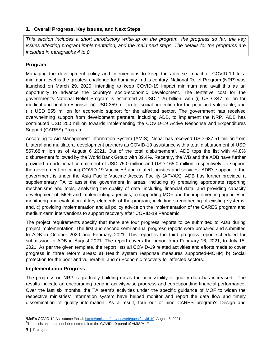# <span id="page-3-0"></span>**1. Overall Progress, Key Issues, and Next Steps**

*This section includes a short introductory write-up on the program, the progress so far, the key issues affecting program implementation, and the main next steps. The details for the programs are included in paragraphs 4 to 8.* 

# **Program**

Managing the development policy and interventions to keep the adverse impact of COVID-19 to a minimum level is the greatest challenge for humanity in this century. National Relief Program (NRP) was launched on March 29, 2020, intending to keep COVID-19 impact minimum and avail this as an opportunity to advance the country's socio-economic development. The tentative cost for the government's National Relief Program is estimated at USD 1.26 billion, with (i) USD 347 million for medical and health response, (ii) USD 359 million for social protection for the poor and vulnerable, and (iii) USD 555 million for economic support for the affected sector. The government has received overwhelming support from development partners, including ADB, to implement the NRP. ADB has contributed USD 250 million towards implementing the COVID-19 Active Response and Expenditures Support (CARES) Program.

According to Aid Management Information System (AMIS), Nepal has received USD 637.51 million from bilateral and multilateral development partners as COVID-19 assistance with a total disbursement of USD 557.68 million as of August 6 2021. Out of the total disbursement<sup>1</sup>, ADB tops the list with 44.8% disbursement followed by the World Bank Group with 39.4%. Recently, the WB and the ADB have further provided an additional commitment of USD 75.0 million and USD 165.0 million, respectively, to support the government procuring COVID-19 Vaccines<sup>2</sup> and related logistics and services. ADB's support to the government is under the Asia Pacific Vaccine Access Facility (APVAX). ADB has further provided a supplementary TA to assist the government in areas, including a) preparing appropriate reporting mechanisms and tools, analyzing the quality of data, including financial data, and providing capacity development of MOF and implementing agencies; b) supporting MOF and the implementing agencies in monitoring and evaluation of key elements of the program, including strengthening of existing systems; and, c) providing implementation and all policy advice on the implementation of the CARES program and medium-term interventions to support recovery after COVID-19 Pandemic.

The project requirements specify that there are four progress reports to be submitted to ADB during project implementation. The first and second semi-annual progress reports were prepared and submitted to ADB in October 2020 and February 2021. This report is the third progress report scheduled for submission to ADB in August 2021. The report covers the period from February 16, 2021, to July 15, 2021. As per the given template, the report lists all COVID-19 related activities and efforts made to cover progress in three reform areas: a) Health system response measures supported-MOHP; b) Social protection for the poor and vulnerable; and c) Economic recovery for affected sectors.

### **Implementation Progress**

The progress on NRP is gradually building up as the accessibility of quality data has increased. The results indicate an encouraging trend in activity-wise progress and corresponding financial performance. Over the last six months, the TA team's activities under the specific guidance of MOF to widen the respective ministries' information system have helped monitor and report the data flow and timely dissemination of quality information. As a result, four out of nine CARES program's Design and

<sup>1</sup>MoF's COVID-19 Assistance Portal, [https://amis.mof.gov.np/web/guest/covid-19,](https://amis.mof.gov.np/web/guest/covid-19) August 6, 2021.

 $2$ The assistance has not been entered into the COVID-19 portal of AMIS/MoF.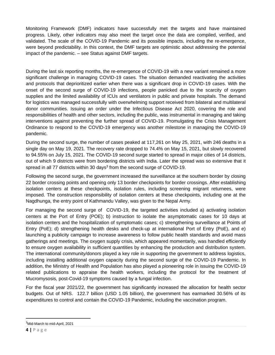Monitoring Framework (DMF) indicators have successfully met the targets and have maintained progress. Likely, other indicators may also meet the target once the data are compiled, verified, and validated. The scale of the COVID-19 Pandemic and its possible impacts, including the re-emergence, were beyond predictability. In this context, the DMF targets are optimistic about addressing the potential impact of the pandemic. – see Status against DMF targets.

During the last six reporting months, the re-emergence of COVID-19 with a new variant remained a more significant challenge in managing COVID-19 cases. The situation demanded reactivating the activities and protocols that deprioritized earlier when there was a significant drop in COVID-19 cases. With the onset of the second surge of COVID-19 infections, people panicked due to the scarcity of oxygen supplies and the limited availability of ICUs and ventilators in public and private hospitals. The demand for logistics was managed successfully with overwhelming support received from bilateral and multilateral donor communities. Issuing an order under the Infectious Disease Act 2020, covering the role and responsibilities of health and other sectors, including the public, was instrumental in managing and taking interventions against preventing the further spread of COVID-19. Promulgating the Crisis Management Ordinance to respond to the COVID-19 emergency was another milestone in managing the COVID-19 pandemic.

During the second surge, the number of cases peaked at 117,261 on May 25, 2021, with 246 deaths in a single day on May 19, 2021. The recovery rate dropped to 74.4% on May 15, 2021, but slowly recovered to 94.55% on July 15, 2021. The COVID-19 second surge started to spread in major cities of 14 districts, out of which 9 districts were from bordering districts with India. Later the spread was so extensive that it spread in all 77 districts within 30 days<sup>3</sup> from the second surge of COVID-19.

Following the second surge, the government increased the surveillance at the southern border by closing 22 border crossing points and opening only 13 border checkpoints for border crossings. After establishing isolation centers at these checkpoints, isolation rules, including screening migrant returnees, were imposed. The construction responsibility of isolation centers at these checkpoints, including one at the Nagdhunga, the entry point of Kathmandu Valley, was given to the Nepal Army.

For managing the second surge of COVID-19, the targeted activities included a) activating isolation centers at the Port of Entry (POE); b) instruction to isolate the asymptomatic cases for 10 days at isolation centers and the hospitalization of symptomatic cases; c) strengthening surveillance at Points of Entry (PoE); d) strengthening health desks and check-up at international Port of Entry (PoE), and e) launching a publicity campaign to increase awareness to follow public health standards and avoid mass gatherings and meetings. The oxygen supply crisis, which appeared momentarily, was handled efficiently to ensure oxygen availability in sufficient quantities by enhancing the production and distribution system. The international community/donors played a key role in supporting the government to address logistics, including installing additional oxygen capacity during the second surge of the COVID-19 Pandemic. In addition, the Ministry of Health and Population has also played a pioneering role in issuing the COVID-19 related publications to appraise the health workers, including the protocol for the treatment of Mucromysosis, post-Covid-19 symptoms caused by a fungal infection.

For the fiscal year 2021/22, the government has significantly increased the allocation for health sector budgets. Out of NRS. 122.7 billion (USD 1.05 billion), the government has earmarked 30.56% of its expenditures to control and contain the COVID-19 Pandemic, including the vaccination program.

<sup>&</sup>lt;sup>3</sup>Mid-March to mid-April, 2021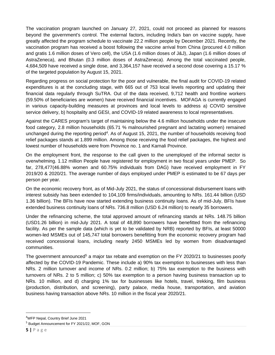The vaccination program launched on January 27, 2021, could not proceed as planned for reasons beyond the government's control. The external factors, including India's ban on vaccine supply, have greatly affected the program schedule to vaccinate 22.2 million people by December 2021. Recently, the vaccination program has received a boost following the vaccine arrival from China (procured 4.0 million and gratis 1.6 million doses of Vero cell), the USA (1.6 million doses of J&J), Japan (1.6 million doses of AstraZeneca), and Bhutan (0.3 million doses of AstraZeneca). Among the total vaccinated people, 4,684,509 have received a single dose, and 3,364,157 have received a second dose covering a 15.17 % of the targeted population by August 15, 2021.

Regarding progress on social protection for the poor and vulnerable, the final audit for COVID-19 related expenditures is at the concluding stage, with 665 out of 753 local levels reporting and updating their financial data regularly through SuTRA. Out of the data received, 9,712 health and frontline workers (59.50% of beneficiaries are women) have received financial incentives. MOFAGA is currently engaged in various capacity-building measures at provinces and local levels to address a) COVID sensitive service delivery, b) hospitality and GESI, and COVID-19 related awareness to local representatives.

Against the CARES program's target of maintaining below the 4.6 million households under the insecure food category, 2.8 million households (65.71 % malnourished pregnant and lactating women) remained unchanged during the reporting period<sup>4</sup>. As of August 15, 2021, the number of households receiving food relief packages stands at 1.899 million. Among those receiving the food relief packages, the highest and lowest number of households were from Province no. 1 and Karnali Province.

On the employment front, the response to the call given to the unemployed of the informal sector is overwhelming. 1.12 million People have registered for employment in two fiscal years under PMEP. So far, 278,477(46.88% women and 60.75% individuals from DAG) have received employment in FY 2019/20 & 2020/21. The average number of days employed under PMEP is estimated to be 67 days per person per year.

On the economic recovery front, as of Mid-July 2021, the status of concessional disbursement loans with interest subsidy has been extended to 104,109 firms/individuals, amounting to NRs. 161.44 billion (USD 1.36 billion). The BFIs have now started extending business continuity loans. As of mid-July, BFIs have extended business continuity loans of NRs. 736.8 million (USD 6.24 million) to nearly 35 borrowers.

Under the refinancing scheme, the total approved amount of refinancing stands at NRs. 148.75 billion (USD1.26 billion) in mid-July 2021. A total of 48,890 borrowers have benefitted from the refinancing facility. As per the sample data (which is yet to be validated by NRB) reported by BFIs, at least 50000 women-led MSMEs out of 145,747 total borrowers benefitting from the economic recovery program had received concessional loans, including nearly 2450 MSMEs led by women from disadvantaged communities.

The government announced<sup>5</sup> a major tax rebate and exemption on the FY 2020/21 to businesses poorly affected by the COVID-19 Pandemic. These include a) 90% tax exemption to businesses with less than NRs. 2 million turnover and income of NRs. 0.2 million; b) 75% tax exemption to the business with turnovers of NRs. 2 to 5 million; c) 50% tax exemption to a person having business transaction up to NRs. 10 million, and d) charging 1% tax for businesses like hotels, travel, trekking, film business (production, distribution, and screening), party palace, media house, transportation, and aviation business having transaction above NRs. 10 million in the fiscal year 2020/21.

<sup>4</sup>WFP Nepal, Country Brief June 2021

<sup>5</sup> Budget Announcement for FY 2021/22, MOF, GON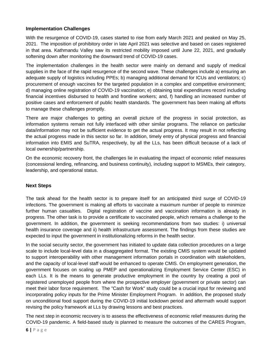# **Implementation Challenges**

With the resurgence of COVID-19, cases started to rise from early March 2021 and peaked on May 25, 2021. The imposition of prohibitory order in late April 2021 was selective and based on cases registered in that area. Kathmandu Valley saw its restricted mobility imposed until June 22, 2021, and gradually softening down after monitoring the downward trend of COVID-19 cases.

The implementation challenges in the health sector were mainly on demand and supply of medical supplies in the face of the rapid resurgence of the second wave. These challenges include a) ensuring an adequate supply of logistics including PPEs; b) managing additional demand for ICUs and ventilators; c) procurement of enough vaccines for the targeted population in a complex and competitive environment; d) managing online registration of COVID-19 vaccination; e) obtaining total expenditures record including financial incentives disbursed to health and frontline workers; and, f) handling an increased number of positive cases and enforcement of public health standards. The government has been making all efforts to manage these challenges promptly.

There are major challenges to getting an overall picture of the progress in social protection, as information systems remain not fully interfaced with other similar programs. The reliance on particular data/information may not be sufficient evidence to get the actual progress. It may result in not reflecting the actual progress made in this sector so far. In addition, timely entry of physical progress and financial information into EMIS and SuTRA, respectively, by all the LLs, has been difficult because of a lack of local ownership/partnership.

On the economic recovery front, the challenges lie in evaluating the impact of economic relief measures (concessional lending, refinancing, and business continuity), including support to MSMEs, their category, leadership, and operational status.

### **Next Steps**

The task ahead for the health sector is to prepare itself for an anticipated third surge of COVID-19 infections. The government is making all efforts to vaccinate a maximum number of people to minimize further human casualties. Digital registration of vaccine and vaccination information is already in progress. The other task is to provide a certificate to vaccinated people, which remains a challenge to the government. In addition, the government is seeking recommendations from two studies: i) universal health insurance coverage and ii) health infrastructure assessment. The findings from these studies are expected to input the government in institutionalizing reforms in the health sector.

In the social security sector, the government has initiated to update data collection procedures on a large scale to include local-level data in a disaggregated format. The existing CMIS system would be updated to support interoperability with other management information portals in coordination with stakeholders, and the capacity of local-level staff would be enhanced to operate CMIS. On employment generation, the government focuses on scaling up PMEP and operationalizing Employment Service Center (ESC) in each LLs. It is the means to generate productive employment in the country by creating a pool of registered unemployed people from where the prospective employer (government or private sector) can meet their labor force requirement. The "Cash for Work" study could be a crucial input for reviewing and incorporating policy inputs for the Prime Minister Employment Program. In addition, the proposed study on unconditional food support during the COVID-19 initial lockdown period and aftermath would support revising the policy framework at LLs by drawing lessons and best practices.

The next step in economic recovery is to assess the effectiveness of economic relief measures during the COVID-19 pandemic. A field-based study is planned to measure the outcomes of the CARES Program,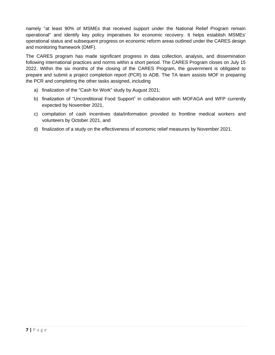namely "at least 90% of MSMEs that received support under the National Relief Program remain operational" and identify key policy imperatives for economic recovery. It helps establish MSMEs' operational status and subsequent progress on economic reform areas outlined under the CARES design and monitoring framework (DMF).

The CARES program has made significant progress in data collection, analysis, and dissemination following international practices and norms within a short period. The CARES Program closes on July 15 2022. Within the six months of the closing of the CARES Program, the government is obligated to prepare and submit a project completion report (PCR) to ADB. The TA team assists MOF in preparing the PCR and completing the other tasks assigned, including

- a) finalization of the "Cash for Work" study by August 2021;
- b) finalization of "Unconditional Food Support" in collaboration with MOFAGA and WFP currently expected by November 2021,
- c) compilation of cash incentives data/information provided to frontline medical workers and volunteers by October 2021, and
- d) finalization of a study on the effectiveness of economic relief measures by November 2021.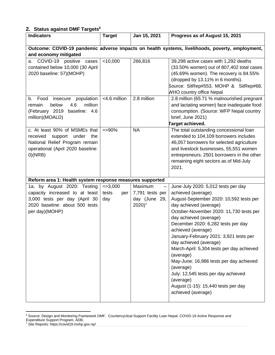# <span id="page-8-0"></span>**2. Status against DMF Targets<sup>6</sup>**

| <b>Indicators</b>                                                                                                                                  | <b>Target</b>                       | Jan 15, 2021                                                                                   | Progress as of August 15, 2021                                                                                                                                                                                                                                                                                                                                                                                                                                                                                                                                         |
|----------------------------------------------------------------------------------------------------------------------------------------------------|-------------------------------------|------------------------------------------------------------------------------------------------|------------------------------------------------------------------------------------------------------------------------------------------------------------------------------------------------------------------------------------------------------------------------------------------------------------------------------------------------------------------------------------------------------------------------------------------------------------------------------------------------------------------------------------------------------------------------|
|                                                                                                                                                    |                                     |                                                                                                | Outcome: COVID-19 pandemic adverse impacts on health systems, livelihoods, poverty, employment,                                                                                                                                                                                                                                                                                                                                                                                                                                                                        |
| and economy mitigated                                                                                                                              |                                     |                                                                                                |                                                                                                                                                                                                                                                                                                                                                                                                                                                                                                                                                                        |
| COVID-19 positive cases<br>a.<br>contained below 10,000 (30 April<br>2020 baseline: 57)(MOHP)                                                      | < 10,000                            | 266,816                                                                                        | 39,298 active cases with 1,292 deaths<br>(33.50% women) out of 807,402 total cases<br>(45.69% women). The recovery is 84.55%<br>(dropped by 13.11% in 6 months).<br>Source: SitRep#553, MOHP & SitRep#68,<br><b>WHO country office Nepal</b>                                                                                                                                                                                                                                                                                                                           |
| Food<br>insecure population<br>b.<br>million<br>below<br>4.6<br>remain<br>(February 2019 baseline: 4.6<br>million)(MOALD)                          | <4.6 million                        | 2.8 million                                                                                    | 2.8 million (65.71 % malnourished pregnant<br>and lactating women) face inadequate food<br>consumption. (Source: WFP Nepal country<br>brief, June 2021)<br>Target achieved.                                                                                                                                                                                                                                                                                                                                                                                            |
| c. At least 90% of MSMEs that<br>received support under<br>the<br>National Relief Program remain<br>operational (April 2020 baseline:<br>0)(NRB)   | $=$ >90%                            | <b>NA</b>                                                                                      | The total outstanding concessional loan<br>extended to 104,109 borrowers includes<br>46,057 borrowers for selected agriculture<br>and livestock businesses, 55,551 women<br>entrepreneurs. 2501 borrowers in the other<br>remaining eight sectors as of Mid-July<br>2021.                                                                                                                                                                                                                                                                                              |
| Reform area 1: Health system response measures supported                                                                                           |                                     |                                                                                                |                                                                                                                                                                                                                                                                                                                                                                                                                                                                                                                                                                        |
| 1a. by August 2020: Testing<br>capacity increased to at least<br>3,000 tests per day (April 30<br>2020 baseline: about 500 tests<br>per day)(MOHP) | $= >3,000$<br>tests<br>per  <br>day | Maximum<br>$\overline{\phantom{0}}$<br>7,791 tests per<br>day (June 29,<br>$2020$ <sup>7</sup> | June-July 2020: 5,012 tests per day<br>achieved (average)<br>August-September 2020: 10,592 tests per<br>day achieved (average)<br>October-November 2020: 11,730 tests per<br>day achieved (average)<br>December 2020: 6,282 tests per day<br>achieved (average)<br>January-February 2021: 3,921 tests per<br>day achieved (average)<br>March-April: 5,304 tests per day achieved<br>(average)<br>May-June: 16,986 tests per day achieved<br>(average)<br>July: 12,545 tests per day achieved<br>(average)<br>August (1-15): 15,440 tests per day<br>achieved (average) |

<sup>&</sup>lt;sup>6</sup> Source: Design and Monitoring Framework DMF, Countercyclical Support Facility Loan Nepal: COVID-19 Active Response and Expenditure Support Program, ADB,

<sup>&</sup>lt;sup>7</sup> Site Reports: https://covid19.mohp.gov.np/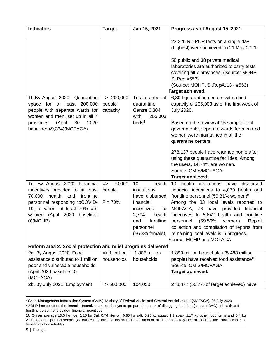| <b>Indicators</b>                                              | <b>Target</b>           | Jan 15, 2021      | Progress as of August 15, 2021                        |
|----------------------------------------------------------------|-------------------------|-------------------|-------------------------------------------------------|
|                                                                |                         |                   | 23,226 RT-PCR tests on a single day                   |
|                                                                |                         |                   | (highest) were achieved on 21 May 2021.               |
|                                                                |                         |                   |                                                       |
|                                                                |                         |                   | 58 public and 38 private medical                      |
|                                                                |                         |                   | laboratories are authorized to carry tests            |
|                                                                |                         |                   | covering all 7 provinces. (Source: MOHP,              |
|                                                                |                         |                   | SitRep #553)                                          |
|                                                                |                         |                   | (Source: MOHP, SitRep#113 - #553)                     |
|                                                                |                         |                   | Target achieved.                                      |
| 1b.By August 2020: Quarantine                                  | $=$ 200,000             | Total number of   | 6,304 quarantine centers with a bed                   |
| space for at least 200,000                                     | people                  | quarantine        | capacity of 205,003 as of the first week of           |
| people with separate wards for                                 | capacity                | Centre 6,304      | <b>July 2020.</b>                                     |
| women and men, set up in all 7                                 |                         | with<br>205,003   |                                                       |
| (April<br>30<br>2020<br>provinces                              |                         | beds <sup>8</sup> | Based on the review at 15 sample local                |
| baseline: 49,334)(MOFAGA)                                      |                         |                   | governments, separate wards for men and               |
|                                                                |                         |                   | women were maintained in all the                      |
|                                                                |                         |                   | quarantine centers.                                   |
|                                                                |                         |                   | 278,137 people have returned home after               |
|                                                                |                         |                   | using these quarantine facilities. Among              |
|                                                                |                         |                   | the users, 14.74% are women.                          |
|                                                                |                         |                   | Source: CMIS/MOFAGA                                   |
|                                                                |                         |                   | Target achieved.                                      |
| 1c. By August 2020: Financial                                  | 70,000<br>$\Rightarrow$ | health<br>10      | 10 health institutions have<br>disbursed              |
| incentives provided to at least                                | people                  | institutions      | financial incentives to 4,070 health and              |
| 70,000<br>health<br>and<br>frontline                           |                         | have disbursed    | frontline personnel (59.31% women) <sup>9</sup>       |
| personnel responding toCOVID-                                  | $F = 70%$               | financial         | Among the 83 local levels reported to                 |
| 19, of whom at least 70% are                                   |                         | incentives<br>to  | MOFAGA, 76 have provided financial                    |
| women (April 2020<br>baseline:                                 |                         | 2,794<br>health   | incentives to 5,642 health and frontline              |
| O(MOHP)                                                        |                         | frontline<br>and  | (59.50% women).<br>personnel<br>Report                |
|                                                                |                         | personnel         | collection and compilation of reports from            |
|                                                                |                         | (56.3% female),   | remaining local levels is in progress.                |
|                                                                |                         |                   | Source: MOHP and MOFAGA                               |
| Reform area 2: Social protection and relief programs delivered |                         |                   |                                                       |
| 2a. By August 2020: Food                                       | $\Rightarrow$ 1 million | 1.885 million     | 1.899 million households (5.483 million               |
| assistance distributed to 1 million                            | households              | households        | people) have received food assistance <sup>10</sup> . |
| poor and vulnerable households.                                |                         |                   | Source: CMIS/MOFAGA                                   |
| (April 2020 baseline: 0)                                       |                         |                   | Target achieved.                                      |
| (MOFAGA)                                                       |                         |                   |                                                       |
| 2b. By July 2021: Employment                                   | $=$ 500,000             | 104,050           | 278,477 (55.7% of target achieved) have               |

<sup>&</sup>lt;sup>8</sup> Crisis Management Information System (CMIS), Ministry of Federal Affairs and General Administration (MOFAGA), 06 July 2020 9MOHP has compiled the financial incentives amount but yet to prepare the report of disaggregated data (sex and DAG) of health and frontline personnel provided financial incentives

<sup>10</sup> On an average 13.5 kg rice, 1.25 kg Dal, 0.74 liter oil, 0.85 kg salt, 0.26 kg sugar, 1.7 soap, 1.17 kg other food items and 0.4 kg vegetable/fruit per household (Calculated by dividing distributed total amount of different categories of food by the total number of beneficiary households).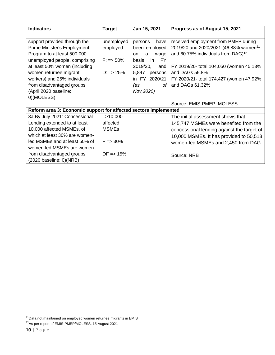| <b>Indicators</b>                                                | <b>Target</b>         | Jan 15, 2021              | Progress as of August 15, 2021                    |
|------------------------------------------------------------------|-----------------------|---------------------------|---------------------------------------------------|
| support provided through the                                     | unemployed            | have<br>persons           | received employment from PMEP during              |
| Prime Minister's Employment                                      | employed              | been employed             | 2019/20 and 2020/2021 (46.88% women <sup>11</sup> |
| Program to at least 500,000                                      |                       | a<br>wage<br><b>on</b>    | and 60.75% individuals from DAG) <sup>12</sup>    |
| unemployed people, comprising                                    | $F: => 50\%$          | <b>FY</b><br>in.<br>basis |                                                   |
| at least 50% women (including                                    |                       | 2019/20,<br>and           | FY 2019/20- total 104,050 (women 45.13%           |
| women returnee migrant                                           | $D: => 25\%$          | 5,847<br>persons          | and DAGs 59.8%                                    |
| workers) and 25% individuals                                     |                       | 2020/21<br>in FY          | FY 2020/21- total 174,427 (women 47.92%           |
| from disadvantaged groups                                        |                       | (as<br>of I               | and DAGs 61.32%                                   |
| (April 2020 baseline:                                            |                       | Nov, 2020)                |                                                   |
| 0)(MOLESS)                                                       |                       |                           |                                                   |
|                                                                  |                       |                           | Source: EMIS-PMEP, MOLESS                         |
| Reform area 3: Economic support for affected sectors implemented |                       |                           |                                                   |
| 3a By July 2021: Concessional                                    | $=$ > 10,000          |                           | The initial assessment shows that                 |
| Lending extended to at least                                     | affected              |                           | 145,747 MSMEs were benefited from the             |
| 10,000 affected MSMEs, of                                        | <b>MSMEs</b>          |                           | concessional lending against the target of        |
| which at least 30% are women-                                    |                       |                           | 10,000 MSMEs. It has provided to 50,513           |
| led MSMEs and at least 50% of                                    | $F = 30\%$            |                           | women-led MSMEs and 2,450 from DAG                |
| women-led MSMEs are women                                        |                       |                           |                                                   |
| from disadvantaged groups                                        | $DF \Rightarrow 15\%$ |                           | Source: NRB                                       |
| $(2020 \text{ baseline: } 0)(NRB)$                               |                       |                           |                                                   |

 $11$ Data not maintained on employed women returnee migrants in EMIS

<sup>&</sup>lt;sup>12</sup>As per report of EMIS-PMEP/MOLESS, 15 August 2021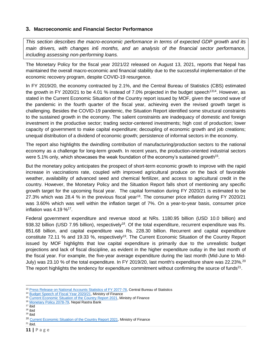# <span id="page-11-0"></span>**3. Macroeconomic and Financial Sector Performance**

*This section describes the macro-economic performance in terms of expected GDP growth and its main drivers, with changes in6 months, and an analysis of the financial sector performance, including assessing non-performing loans.*

The Monetary Policy for the fiscal year 2021/22 released on August 13, 2021, reports that Nepal has maintained the overall macro-economic and financial stability due to the successful implementation of the economic recovery program, despite COVID-19 resurgence.

In FY 2019/20, the economy contracted by 2.1%, and the Central Bureau of Statistics (CBS) estimated the growth in FY 2020/21 to be 4.01 % instead of 7.0% projected in the budget speech<sup>1314</sup>. However, as stated in the Current Economic Situation of the Country report issued by MOF, given the second wave of the pandemic in the fourth quarter of the fiscal year, achieving even the revised growth target is challenging. Besides the COVID-19 pandemic, the Situation Report identified some structural constraints to the sustained growth in the economy. The salient constraints are inadequacy of domestic and foreign investment in the productive sector; trading sector-centered investments; high cost of production; lower capacity of government to make capital expenditure; decoupling of economic growth and job creations; unequal distribution of a dividend of economic growth; persistence of informal sectors in the economy.

The report also highlights the dwindling contribution of manufacturing/production sectors to the national economy as a challenge for long-term growth. In recent years, the production-oriented industrial sectors were 5.1% only, which showcases the weak foundation of the economy's sustained growth<sup>15</sup>.

But the monetary policy anticipates the prospect of short-term economic growth to improve with the rapid increase in vaccinations rate, coupled with improved agricultural produce on the back of favorable weather, availability of advanced seed and chemical fertilizer, and access to agricultural credit in the country. However, the Monetary Policy and the Situation Report falls short of mentioning any specific growth target for the upcoming fiscal year. The capital formation during FY 2020/21 is estimated to be 27.3% which was 28.4 % in the previous fiscal year<sup>16</sup>. The consumer price inflation during FY 2020/21 was 3.60% which was well within the inflation target of 7%. On a year-to-year basis, consumer price inflation was  $4.19\%$ <sup>17</sup>.

Federal government expenditure and revenue stood at NRs. 1180.95 billion (USD 10.0 billion) and 938.32 billion (USD 7.95 billion), respectively<sup>18</sup>. Of the total expenditure, recurrent expenditure was Rs. 851.68 billion, and capital expenditure was Rs. 228.30 billion. Recurrent and capital expenditure constitute 72.11 % and 19.33 %, respectively<sup>19</sup>. The Current Economic Situation of the Country Report issued by MOF highlights that low capital expenditure is primarily due to the unrealistic budget projections and lack of fiscal discipline, as evident in the higher expenditure outlay in the last month of the fiscal year. For example, the five-year average expenditure during the last month (Mid-June to Mid-July) was 23.10 % of the total expenditure. In FY 2019/20, last month's expenditure share was 22.23%.<sup>20</sup> The report highlights the tendency for expenditure commitment without confirming the source of funds<sup>21</sup>.

<sup>18</sup> ibid  $19$  ibid

 $21$  ibid.

<sup>&</sup>lt;sup>13</sup> [Press Release on National Accounts Statistics of FY 2077-78,](https://cbs.gov.np/press-release-gdp-2021/) Central Bureau of Statistics

<sup>&</sup>lt;sup>14</sup> [Budget Speech of Fiscal Year 2020/21,](https://mof.gov.np/uploads/document/file/Budget%20Speech%202020_20201118033431.pdf) Ministry of Finance

<sup>&</sup>lt;sup>15</sup> [Current Economic Situation of the Country Report 2021,](https://mof.gov.np/uploads/document/file/1628599109_%E0%A4%86%E0%A4%B0%E0%A5%8D%E0%A4%A5%E0%A4%BF%E0%A4%95%20%E0%A4%9C%E0%A4%BE%E0%A4%A8%E0%A4%95%E0%A4%BE%E0%A4%B0%E0%A5%80%20%E0%A4%AA%E0%A4%A4%E0%A5%8D%E0%A4%B0%20New%20Final.pdf) Ministry of Finance

<sup>&</sup>lt;sup>16</sup> [Monetary Policy 2078-79,](https://www.nrb.org.np/contents/uploads/2021/08/Monetary-Policy-2078-79-1.pdf) Nepal Rastra Bank

 $17 \overline{ibid}$ 

<sup>&</sup>lt;sup>20</sup> [Current Economic Situation of the Country Report 2021,](https://mof.gov.np/uploads/document/file/1628599109_%E0%A4%86%E0%A4%B0%E0%A5%8D%E0%A4%A5%E0%A4%BF%E0%A4%95%20%E0%A4%9C%E0%A4%BE%E0%A4%A8%E0%A4%95%E0%A4%BE%E0%A4%B0%E0%A5%80%20%E0%A4%AA%E0%A4%A4%E0%A5%8D%E0%A4%B0%20New%20Final.pdf) Ministry of Finance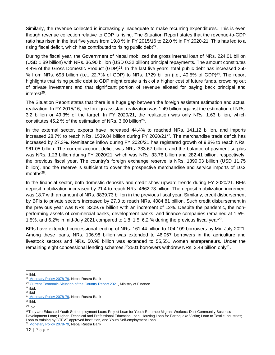Similarly, the revenue collected is increasingly inadequate to make recurring expenditures. This is even though revenue collection relative to GDP is rising. The Situation Report states that the revenue-to-GDP ratio has risen in the last five years from 19.8 % in FY 2015/16 to 22.0 % in FY 2020-21. This has led to a rising fiscal deficit, which has contributed to rising public debt $^{22}$ .

During the fiscal year, the Government of Nepal mobilized the gross internal loan of NRs. 224.01 billion (USD 1.89 billion) with NRs. 36.90 billion (USD 0.32 billion) principal repayments. The amount constitutes 4.4% of the Gross Domestic Product (GDP)<sup>23</sup>. In the last five years, total public debt has increased 250 % from NRs. 698 billion (i.e., 22.7% of GDP) to NRs. 1729 billion (i.e., 40.5% of GDP)<sup>24</sup>. The report highlights that rising public debt to GDP might create a risk of a higher cost of future funds, crowding out of private investment and that significant portion of revenue allotted for paying back principal and interest<sup>25</sup>.

The Situation Report states that there is a huge gap between the foreign assistant estimation and actual realization. In FY 2015/16, the foreign assistant realization was 1.49 billion against the estimation of NRs. 3.2 billion or 49.3% of the target. In FY 2020/21, the realization was only NRs. 1.63 billion, which constitutes 45.2 % of the estimation of NRs. 3.60 billion<sup>26</sup>.

In the external sector, exports have increased 44.4% to reached NRs. 141.12 billion, and imports increased 28.7% to reach NRs. 1539.84 billion during FY 2020/21<sup>27</sup>. The merchandise trade deficit has increased by 27.3%. Remittance inflow during FY 2020/21 has registered growth of 9.8% to reach NRs. 961.05 billion. The current account deficit was NRs. 333.67 billion, and the balance of payment surplus was NRs. 1.23 billion during FY 2020/21, which was NRs. 33.76 billion and 282.41 billion, respectively, the previous fiscal year. The country's foreign exchange reserve is NRs. 1399.03 billion (USD 11.75 billion), and the reserve is sufficient to cover the prospective merchandise and service imports of 10.2 months<sup>28</sup>.

In the financial sector, both domestic deposits and credit show upward trends during FY 2020/21. BFIs deposit mobilization increased by 21.4 to reach NRs. 4662.73 billion. The deposit mobilization increment was 18.7 with an amount of NRs. 3839.73 billion in the previous fiscal year. Similarly, credit disbursement by BFIs to private sectors increased by 27.3 to reach NRs. 4084.81 billion. Such credit disbursement in the previous year was NRs. 3209.79 billion with an increment of 12%. Despite the pandemic, the nonperforming assets of commercial banks, development banks, and finance companies remained at 1.5%, 1.5%, and 6.2% in mid-July 2021 compared to 1.8, 1.5, 6.2 % during the previous fiscal year<sup>29</sup>.

BFIs have extended concessional lending of NRs. 161.44 billion to 104,109 borrowers by Mid-July 2021. Among these loans, NRs. 106.98 billion was extended to 46,057 borrowers in the agriculture and livestock sectors and NRs. 50.98 billion was extended to 55,551 women entrepreneurs. Under the remaining eight concessional lending schemes,<sup>30</sup>2501 borrowers withdrew NRs. 3.48 billion only<sup>31</sup>.

 $22$  ibid.

 $25$  ibid.

<sup>28</sup> ibid.

<sup>&</sup>lt;sup>23</sup> [Monetary Policy 2078-79,](https://www.nrb.org.np/contents/uploads/2021/08/Monetary-Policy-2078-79-1.pdf) Nepal Rastra Bank

<sup>&</sup>lt;sup>24</sup> [Current Economic Situation of the Country Report 2021,](https://mof.gov.np/uploads/document/file/1628599109_%E0%A4%86%E0%A4%B0%E0%A5%8D%E0%A4%A5%E0%A4%BF%E0%A4%95%20%E0%A4%9C%E0%A4%BE%E0%A4%A8%E0%A4%95%E0%A4%BE%E0%A4%B0%E0%A5%80%20%E0%A4%AA%E0%A4%A4%E0%A5%8D%E0%A4%B0%20New%20Final.pdf) Ministry of Finance

 $26$  ibid

<sup>&</sup>lt;sup>27</sup> [Monetary Policy 2078-79,](https://www.nrb.org.np/contents/uploads/2021/08/Monetary-Policy-2078-79-1.pdf) Nepal Rastra Bank

<sup>29</sup> ibid

<sup>30</sup>They are Educated Youth Self-employment Loan; Project Loan for Youth-Returnee Migrant Workers; Dalit Community Business Development Loan; Higher, Technical and Professional Education Loan; Housing Loan for Earthquake Victim; Loan to Textile industries; Loan to training by CTEVT approved institution, and Youth Self-employment Loan. <sup>31</sup> [Monetary Policy 2078-79,](https://www.nrb.org.np/contents/uploads/2021/08/Monetary-Policy-2078-79-1.pdf) Nepal Rastra Bank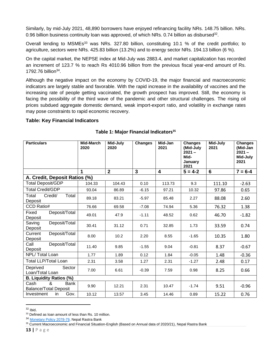Similarly, by mid-July 2021, 48,890 borrowers have enjoyed refinancing facility NRs. 148.75 billion. NRs. 0.96 billion business continuity loan was approved, of which NRs. 0.74 billion as disbursed<sup>32</sup>.

Overall lending to MSMEs<sup>33</sup> was NRs. 327.80 billion, constituting 10.1 % of the credit portfolio; to agriculture, sectors were NRs. 425.83 billion (13.2%) and to energy sector NRs. 194.13 billion (6 %).

On the capital market, the NEPSE index at Mid-July was 2883.4, and market capitalization has recorded an increment of 123.7 % to reach Rs 4010.96 billion from the previous fiscal year-end amount of Rs. 1792.76 billion<sup>34</sup>.

Although the negative impact on the economy by COVID-19, the major financial and macroeconomic indicators are largely stable and favorable. With the rapid increase in the availability of vaccines and the increasing rate of people getting vaccinated, the growth prospect has improved. Still, the economy is facing the possibility of the third wave of the pandemic and other structural challenges. The rising oil prices subdued aggregate domestic demand, weak import-export ratio, and volatility in exchange rates may pose constraints to rapid economic recovery.

### **Table: Key Financial Indicators**

| <b>Particulars</b>                                | <b>Mid-March</b><br>2020 | Mid-July<br>2020 | <b>Changes</b> | Mid-Jan<br>2021         | <b>Changes</b><br>(Mid-July<br>$2021 -$<br>Mid-<br>January<br>2021 | Mid-July<br>2021 | <b>Changes</b><br>(Mid-Jan<br>$2021 -$<br>Mid-July<br>2021 |
|---------------------------------------------------|--------------------------|------------------|----------------|-------------------------|--------------------------------------------------------------------|------------------|------------------------------------------------------------|
|                                                   | 1                        | $\overline{2}$   | $\overline{3}$ | $\overline{\mathbf{4}}$ | $5 = 4-2$                                                          | $6\phantom{1}$   | $7 = 6-4$                                                  |
| A. Credit, Deposit Ratios (%)                     |                          |                  |                |                         |                                                                    |                  |                                                            |
| <b>Total Deposit/GDP</b>                          | 104.33                   | 104.43           | 0.10           | 113.73                  | 9.3                                                                | 111.10           | $-2.63$                                                    |
| <b>Total Credit/GDP</b>                           | 93.04                    | 86.89            | $-6.15$        | 97.21                   | 10.32                                                              | 97.86            | 0.65                                                       |
| Credit/<br>Total<br>Total<br>Deposit              | 89.18                    | 83.21            | $-5.97$        | 85.48                   | 2.27                                                               | 88.08            | 2.60                                                       |
| CCD Ratio#                                        | 76.66                    | 69.58            | $-7.08$        | 74.94                   | 5.36                                                               | 76.32            | 1.38                                                       |
| Fixed<br>Deposit/Total<br>Deposit                 | 49.01                    | 47.9             | $-1.11$        | 48.52                   | 0.62                                                               | 46.70            | $-1.82$                                                    |
| Deposit/Total<br>Saving<br>Deposit                | 30.41                    | 31.12            | 0.71           | 32.85                   | 1.73                                                               | 33.59            | 0.74                                                       |
| Current<br>Deposit/Total<br>Deposit               | 8.00                     | 10.2             | 2.20           | 8.55                    | $-1.65$                                                            | 10.35            | 1.80                                                       |
| Deposit/Total<br>Call<br>Deposit                  | 11.40                    | 9.85             | $-1.55$        | 9.04                    | $-0.81$                                                            | 8.37             | $-0.67$                                                    |
| NPL/Total Loan                                    | 1.77                     | 1.89             | 0.12           | 1.84                    | $-0.05$                                                            | 1.48             | $-0.36$                                                    |
| <b>Total LLP/Total Loan</b>                       | 2.31                     | 3.58             | 1.27           | 2.31                    | $-1.27$                                                            | 2.48             | 0.17                                                       |
| Deprived<br>Sector<br>Loan/Total Loan             | 7.00                     | 6.61             | $-0.39$        | 7.59                    | 0.98                                                               | 8.25             | 0.66                                                       |
| <b>B. Liquidity Ratios (%)</b>                    |                          |                  |                |                         |                                                                    |                  |                                                            |
| &<br>Cash<br>Bank<br><b>Balance/Total Deposit</b> | 9.90                     | 12.21            | 2.31           | 10.47                   | $-1.74$                                                            | 9.51             | $-0.96$                                                    |
| Gov.<br>Investment<br>in                          | 10.12                    | 13.57            | 3.45           | 14.46                   | 0.89                                                               | 15.22            | 0.76                                                       |

# **Table 1: Major Financial Indicators<sup>35</sup>**

 $32$  [Ibid](https://www.nrb.org.np/contents/uploads/2021/08/Monetary-Policy-2078-79-1.pdf)[.](https://www.nrb.org.np/contents/uploads/2021/08/Monetary-Policy-2078-79-1.pdf)

<sup>&</sup>lt;sup>33</sup> Defined as loan amount of less than Rs. 10 million.

<sup>&</sup>lt;sup>34</sup> [Monetary Policy 2078-79,](https://www.nrb.org.np/contents/uploads/2021/08/Monetary-Policy-2078-79-1.pdf) Nepal Rastra Bank

<sup>35</sup> [Current Macroeconomic and Financial Situation-English \(Based on Annual data of 2020/21\),](https://www.nrb.org.np/red/current-macroeconomic-and-financial-situation-english-based-on-annual-data-of-2020-21/) Nepal Rastra Bank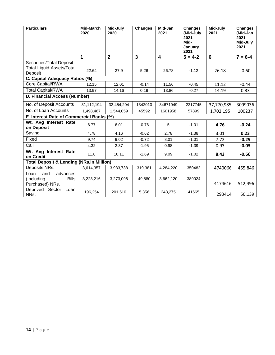| <b>Particulars</b>                                                       | Mid-March<br>2020 | Mid-July<br>2020 | <b>Changes</b> | Mid-Jan<br>2021         | <b>Changes</b><br>(Mid-July<br>$2021 -$<br>Mid-<br>January<br>2021 | Mid-July<br>2021 | <b>Changes</b><br>(Mid-Jan<br>$2021 -$<br>Mid-July<br>2021 |
|--------------------------------------------------------------------------|-------------------|------------------|----------------|-------------------------|--------------------------------------------------------------------|------------------|------------------------------------------------------------|
|                                                                          | 1                 | $\overline{2}$   | 3              | $\overline{\mathbf{4}}$ | $5 = 4-2$                                                          | 6                | $7 = 6-4$                                                  |
| Securities/Total Deposit                                                 |                   |                  |                |                         |                                                                    |                  |                                                            |
| <b>Total Liquid Assets/Total</b><br>Deposit                              | 22.64             | 27.9             | 5.26           | 26.78                   | $-1.12$                                                            | 26.18            | $-0.60$                                                    |
| C. Capital Adequacy Ratios (%)                                           |                   |                  |                |                         |                                                                    |                  |                                                            |
| Core Capital/RWA                                                         | 12.15             | 12.01            | $-0.14$        | 11.56                   | $-0.45$                                                            | 11.12            | $-0.44$                                                    |
| <b>Total Capital/RWA</b>                                                 | 13.97             | 14.16            | 0.19           | 13.86                   | $-0.27$                                                            | 14.19            | 0.33                                                       |
| D. Financial Access (Number)                                             |                   |                  |                |                         |                                                                    |                  |                                                            |
| No. of Deposit Accounts                                                  | 31,112,194        | 32,454,204       | 1342010        | 34671949                | 2217745                                                            | 37,770,985       | 3099036                                                    |
| No. of Loan Accounts                                                     | 1,498,467         | 1,544,059        | 45592          | 1601958                 | 57899                                                              | 1,702,195        | 100237                                                     |
| E. Interest Rate of Commercial Banks (%)                                 |                   |                  |                |                         |                                                                    |                  |                                                            |
| Wt. Avg Interest Rate<br>on Deposit                                      | 6.77              | 6.01             | $-0.76$        | 5                       | $-1.01$                                                            | 4.76             | $-0.24$                                                    |
| Saving                                                                   | 4.78              | 4.16             | $-0.62$        | 2.78                    | $-1.38$                                                            | 3.01             | 0.23                                                       |
| Fixed                                                                    | 9.74              | 9.02             | $-0.72$        | 8.01                    | $-1.01$                                                            | 7.72             | $-0.29$                                                    |
| Call                                                                     | 4.32              | 2.37             | $-1.95$        | 0.98                    | $-1.39$                                                            | 0.93             | $-0.05$                                                    |
| Wt. Avg Interest Rate<br>on Credit                                       | 11.8              | 10.11            | $-1.69$        | 9.09                    | $-1.02$                                                            | 8.43             | $-0.66$                                                    |
| <b>Total Deposit &amp; Lending (NRs.in Million)</b>                      |                   |                  |                |                         |                                                                    |                  |                                                            |
| Deposits NRs.                                                            | 3,614,357         | 3,933,738        | 319,381        | 4,284,220               | 350482                                                             | 4740066          | 455,846                                                    |
| Loan<br>and<br>advances<br>(Including<br><b>Bills</b><br>Purchased) NRs. | 3,223,216         | 3,273,096        | 49,880         | 3,662,120               | 389024                                                             | 4174616          | 512,496                                                    |
| Deprived Sector<br>Loan<br>NRs.                                          | 196,254           | 201,610          | 5,356          | 243,275                 | 41665                                                              | 293414           | 50,139                                                     |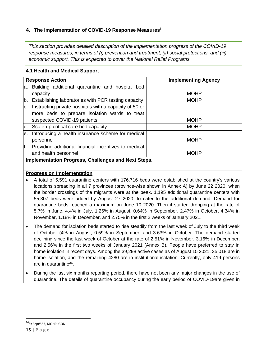# <span id="page-15-0"></span>**4. The Implementation of COVID-19 Response Measures<sup>i</sup>**

*This section provides detailed description of the implementation progress of the COVID-19 response measures, in terms of (i) prevention and treatment, (ii) social protections, and (iii) economic support. This is expected to cover the National Relief Programs.* 

| <b>Response Action</b>                                              | <b>Implementing Agency</b> |  |  |  |
|---------------------------------------------------------------------|----------------------------|--|--|--|
| Building additional quarantine and hospital bed<br>a.               |                            |  |  |  |
| capacity                                                            | <b>MOHP</b>                |  |  |  |
| b.<br>Establishing laboratories with PCR testing capacity           | <b>MOHP</b>                |  |  |  |
| Instructing private hospitals with a capacity of 50 or<br>C.        |                            |  |  |  |
| more beds to prepare isolation wards to treat                       |                            |  |  |  |
| suspected COVID-19 patients                                         | <b>MOHP</b>                |  |  |  |
| d.<br>Scale-up critical care bed capacity                           | <b>MOHP</b>                |  |  |  |
| Introducing a health insurance scheme for medical<br>e.             |                            |  |  |  |
| personnel                                                           | <b>MOHP</b>                |  |  |  |
| $f_{\cdot}$<br>Providing additional financial incentives to medical |                            |  |  |  |
| and health personnel                                                | <b>MOHP</b>                |  |  |  |
| Implementation Progress, Challenges and Next Steps.                 |                            |  |  |  |

#### **4.1 Health and Medical Support**

#### **Progress on Implementation**

- A total of 5,591 quarantine centers with 176,716 beds were established at the country's various locations spreading in all 7 provinces (province-wise shown in Annex A) by June 22 2020, when the border crossings of the migrants were at the peak. 1,195 additional quarantine centers with 55,307 beds were added by August 27 2020, to cater to the additional demand. Demand for quarantine beds reached a maximum on June 10 2020. Then it started dropping at the rate of 5.7% in June, 4.4% in July, 1.26% in August, 0.64% in September, 2.47% in October, 4.34% in November, 1.18% in December, and 2.75% in the first 2 weeks of January 2021.
- The demand for isolation beds started to rise steadily from the last week of July to the third week of October (4% in August, 0.59% in September, and 3.63% in October. The demand started declining since the last week of October at the rate of 2.51% in November, 3.16% in December, and 2.56% in the first two weeks of January 2021 (Annex B). People have preferred to stay in home isolation in recent days. Among the 39,298 active cases as of August 15 2021, 35,018 are in home isolation, and the remaining 4280 are in institutional isolation. Currently, only 419 persons are in quarantine<sup>36</sup>.
- During the last six months reporting period, there have not been any major changes in the use of quarantine. The details of quarantine occupancy during the early period of COVID-19are given in

<sup>36</sup>SitRep#553, MOHP, GON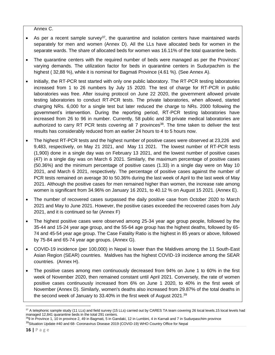Annex C.

- As per a recent sample survey<sup>37</sup>, the quarantine and isolation centers have maintained wards separately for men and women (Annex D). All the LLs have allocated beds for women in the separate wards. The share of allocated beds for women was 16.11% of the total quarantine beds.
- The quarantine centers with the required number of beds were managed as per the Provinces' varying demands. The utilization factor for beds in quarantine centers in Sudurpachim is the highest ( 32,88 %), while it is nominal for Bagmati Province (4.61 %). (See Annex A).
- Initially, the RT-PCR test started with only one public laboratory. The RT-PCR testing laboratories increased from 1 to 26 numbers by July 15 2020. The test of charge for RT-PCR in public laboratories was free. After issuing protocol on June 22 2020, the government allowed private testing laboratories to conduct RT-PCR tests. The private laboratories, when allowed, started charging NRs. 6,000 for a single test but later reduced the charge to NRs. 2000 following the government's intervention. During the reporting period, RT-PCR testing laboratories have increased from 26 to 96 in number. Currently, 58 public and 38 private medical laboratories are authorized to carry RT PCR tests covering all 7 provinces<sup>38</sup>. The time taken to deliver the test results has considerably reduced from an earlier 24 hours to 4 to 5 hours now.
- The highest RT-PCR tests and the highest number of positive cases were observed at 23,226 and 9,483, respectively, on May 21 2021, and May 11 2021. The lowest number of RT-PCR tests (1,900) done in a single day was on February 13 2021, and the lowest number of positive cases (47) in a single day was on March 6 2021. Similarly, the maximum percentage of positive cases (50.36%) and the minimum percentage of positive cases (1.33) in a single day were on May 10 2021, and March 6 2021, respectively. The percentage of positive cases against the number of PCR tests remained on average 30 to 50.36% during the last week of April to the last week of May 2021. Although the positive cases for men remained higher than women, the increase rate among women is significant from 34.96% on January 16 2021, to 40.12 % on August 15 2021. (Annex E).
- The number of recovered cases surpassed the daily positive case from October 2020 to March 2021 and May to June 2021. However, the positive cases exceeded the recovered cases from July 2021, and it is continued so far (Annex F)
- The highest positive cases were observed among 25-34 year age group people, followed by the 35-44 and 15-24 year age group, and the 55-64 age group has the highest deaths, followed by 65- 74 and 45-54 year age group. The Case Fatality Ratio is the highest in 85 years or above, followed by 75-84 and 65-74 year age groups. (Annex G).
- COVID-19 incidence (per 100,000) in Nepal is lower than the Maldives among the 11 South-East Asian Region (SEAR) countries. Maldives has the highest COVID-19 incidence among the SEAR countries. (Annex H).
- The positive cases among men continuously decreased from 94% on June 1 to 60% in the first week of November 2020, then remained constant until April 2021. Conversely, the rate of women positive cases continuously increased from 6% on June 1 2020, to 40% in the first week of November (Annex D). Similarly, women's deaths also increased from 29.87% of the total deaths in the second week of January to 33.40% in the first week of August 2021.<sup>39</sup>

<sup>37</sup> A telephonic sample study (11 LLs) and field survey (15 LLs) carried out by CARES TA team covering 26 local levels.15 local levels had managed 12,841 quarantine beds in the total 291 centers.

<sup>&</sup>lt;sup>38</sup>9 in Province 1, 10 in province 2, 49 in Bagmati, 5 in Gandaki, 12 in Lumbini, 4 in Karnali and 7 in Sudurpaschim province <sup>39</sup>Situation Update #40 and 68- Coronavirus Disease 2019 (COVID-19) WHO Country Office for Nepal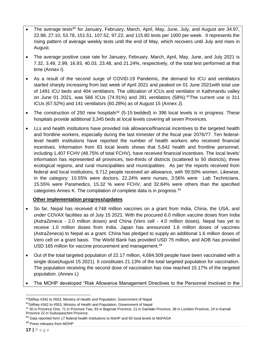- The average tests<sup>40</sup> for January, February, March, April, May, June, July, and August are 34.97, 22.98, 27.10, 53.78, 151.51, 107.52, 97.22, and 115.80 tests per 1000 per week. It represents the rising pattern of average weekly tests until the end of May, which recovers until July and rises in August.
- The average positive case rate for January, February, March, April, May, June, and July 2021 is 7.32, 3.49, 2.99, 16.93, 40.03, 23.48, and 21.24%, respectively, of the total test performed at that time (Annex I).
- As a result of the second surge of COVID-19 Pandemic, the demand for ICU and ventilators started sharply increasing from last week of April 2021 and peaked on 01 June 2021with total use of 1491 ICU beds and 404 ventilators. The utilization of ICUs and ventilator in Kathmandu valley on June 01 2021, was 566 ICUs (74.91%) and 281 ventilators (58%). <sup>41</sup>The current use is 311 ICUs (67.52%) and 141 ventilators (60.28%) as of August 15 (Annex J).
- The construction of 250 new hospitals<sup>42</sup> (5-15 bedded) in 396 local levels is in progress. These hospitals provide additional 3,345 beds at local levels covering all seven Provinces.
- LLs and health institutions have provided risk allowance/financial incentives to the targeted health and frontline workers, especially during the last trimester of the fiscal year 2076/77. Ten federallevel health institutions have reported the number of health workers who received financial incentives. Information from 83 local levels shows that 5,642 health and frontline personnel, including 1,407 FCHV (48.75% of total FCHV), have received financial incentives. The local levels' information has represented all provinces, two-thirds of districts (scattered to 50 districts), three ecological regions, and rural municipalities and municipalities. As per the reports received from federal and local institutions, 9,712 people received an allowance, with 59.50% women. Likewise, in the category: 10.55% were doctors, 22.24% were nurses, 3.56% were Lab Technicians, 15.55% were Paramedics, 15.32 % were FCHV, and 32.84% were others than the specified categories Annex K. The compilation of complete data is in progress.<sup>43</sup>

### **Other implementation progress/updates**

- So far, Nepal has received 4.748 million vaccines on a grant from India, China, the USA, and under COVAX facilities as of July 15 2021. With the procured 6.0 million vaccine doses from India (AstraZeneca - 2.0 million doses) and China (Vero cell - 4.0 million doses), Nepal has yet to receive 1.0 million doses from India. Japan has announced 1.6 million doses of vaccines (AstraZeneca) to Nepal as a grant. China has pledged to supply an additional 1.6 million doses of Vero cell on a grant basis. The World Bank has provided USD 75 million, and ADB has provided USD 165 million for vaccine procurement and management.<sup>44</sup>
- Out of the total targeted population of 22.17 million, 4,684,509 people have been vaccinated with a single dose(August 15 2021). It constitutes 21.13% of the total targeted population for vaccination. The population receiving the second dose of vaccination has now reached 15.17% of the targeted population. (Annex L)
- The MOHP developed "Risk Allowance Management Directives to the Personnel Involved in the

<sup>40</sup>SitRep #342 to #553, Ministry of Health and Population, Government of Nepal

<sup>41</sup>SitRep #342 to #553, Ministry of Health and Population, Government of Nepal

<sup>42 30</sup> in Province One, 71 in Province Two, 83 in Bagmati Province, 21 in Gandaki Province, 38 in Lumbini Province, 24 in Karnali Province 22 in Sudurpaschim Province.

<sup>&</sup>lt;sup>43</sup> Data reported form 17 federal health institutions to MoHP and 83 local levels to MoFAGA

<sup>44</sup> Press releases from MOHP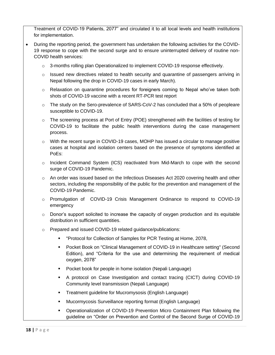Treatment of COVID-19 Patients, 2077" and circulated it to all local levels and health institutions for implementation.

- During the reporting period, the government has undertaken the following activities for the COVID-19 response to cope with the second surge and to ensure uninterrupted delivery of routine non-COVID health services:
	- $\circ$  3-months rolling plan Operationalized to implement COVID-19 response effectively.
	- $\circ$  Issued new directives related to health security and quarantine of passengers arriving in Nepal following the drop in COVID-19 cases in early March).
	- $\circ$  Relaxation on quarantine procedures for foreigners coming to Nepal who've taken both shots of COVID-19 vaccine with a recent RT-PCR test report
	- $\circ$  The study on the Sero-prevalence of SARS-CoV-2 has concluded that a 50% of peopleare susceptible to COVID-19.
	- $\circ$  The screening process at Port of Entry (POE) strengthened with the facilities of testing for COVID-19 to facilitate the public health interventions during the case management process.
	- $\circ$  With the recent surge in COVID-19 cases, MOHP has issued a circular to manage positive cases at hospital and isolation centers based on the presence of symptoms identified at PoEs:
	- o Incident Command System (ICS) reactivated from Mid-March to cope with the second surge of COVID-19 Pandemic.
	- $\circ$  An order was issued based on the Infectious Diseases Act 2020 covering health and other sectors, including the responsibility of the public for the prevention and management of the COVID-19 Pandemic.
	- o Promulgation of COVID-19 Crisis Management Ordinance to respond to COVID-19 emergency
	- $\circ$  Donor's support solicited to increase the capacity of oxygen production and its equitable distribution in sufficient quantities.
	- o Prepared and issued COVID-19 related guidance/publications:
		- "Protocol for Collection of Samples for PCR Testing at Home, 2078,
		- Pocket Book on "Clinical Management of COVID-19 in Healthcare setting" (Second Edition), and "Criteria for the use and determining the requirement of medical oxygen, 2078"
		- Pocket book for people in home isolation (Nepali Language)
		- A protocol on Case Investigation and contact tracing (CICT) during COVID-19 Community level transmission (Nepali Language)
		- Treatment guideline for Mucromysosis (English Language)
		- Mucormycosis Surveillance reporting format (English Language)
		- Operationalization of COVID-19 Prevention Micro Containment Plan following the guideline on "Order on Prevention and Control of the Second Surge of COVID-19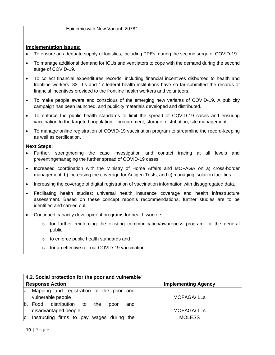Epidemic with New Variant, 2078"

# **Implementation Issues:**

- To ensure an adequate supply of logistics, including PPEs, during the second surge of COVID-19.
- To manage additional demand for ICUs and ventilators to cope with the demand during the second surge of COVID-19.
- To collect financial expenditures records, including financial incentives disbursed to health and frontline workers. 83 LLs and 17 federal health institutions have so far submitted the records of financial incentives provided to the frontline health workers and volunteers.
- To make people aware and conscious of the emerging new variants of COVID-19. A publicity campaign has been launched, and publicity materials developed and distributed.
- To enforce the public health standards to limit the spread of COVID-19 cases and ensuring vaccination to the targeted population – procurement, storage, distribution, site management.
- To manage online registration of COVID-19 vaccination program to streamline the record-keeping as well as certification.

### **Next Steps:**

- Further, strengthening the case investigation and contact tracing at all levels and preventing/managing the further spread of COVID-19 cases.
- Increased coordination with the Ministry of Home Affairs and MOFAGA on a) cross-border management, b) increasing the coverage for Antigen Tests, and c) managing isolation facilities.
- Increasing the coverage of digital registration of vaccination information with disaggregated data.
- Facilitating health studies: universal health insurance coverage and health infrastructure assessment. Based on these concept report's recommendations, further studies are to be identified and carried out.
- Continued capacity development programs for health workers
	- $\circ$  for further reinforcing the existing communication/awareness program for the general public
	- o to enforce public health standards and
	- o for an effective roll-out COVID-19 vaccination.

| 4.2. Social protection for the poor and vulnerable <sup>ii</sup> |                            |  |  |  |
|------------------------------------------------------------------|----------------------------|--|--|--|
| <b>Response Action</b>                                           | <b>Implementing Agency</b> |  |  |  |
| a. Mapping and registration of the poor and                      |                            |  |  |  |
| vulnerable people                                                | <b>MOFAGA/LLs</b>          |  |  |  |
| b.<br>distribution to<br>Food<br>the<br>and<br>poor              |                            |  |  |  |
| disadvantaged people                                             | <b>MOFAGA/LLs</b>          |  |  |  |
| Instructing firms to pay wages during the<br>C.                  | <b>MOLESS</b>              |  |  |  |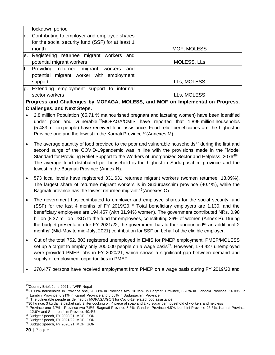|                                                                                | lockdown period                                   |                    |  |
|--------------------------------------------------------------------------------|---------------------------------------------------|--------------------|--|
|                                                                                | d. Contributing to employer and employee shares   |                    |  |
|                                                                                | for the social security fund (SSF) for at least 1 |                    |  |
|                                                                                | month                                             | MOF, MOLESS        |  |
|                                                                                | e. Registering returnee migrant workers and       |                    |  |
|                                                                                | potential migrant workers                         | <b>MOLESS, LLs</b> |  |
| f.                                                                             | Providing returnee migrant workers<br>and         |                    |  |
|                                                                                | potential migrant worker with employment          |                    |  |
|                                                                                | support                                           | LLs, MOLESS        |  |
| lg.                                                                            | Extending employment support to informal          |                    |  |
|                                                                                | sector workers                                    | LLs, MOLESS        |  |
| Progress and Challenges by MOFAGA, MOLESS, and MOF on Implementation Progress, |                                                   |                    |  |

# **Challenges, and Next Steps.**

- 2.8 million Population (65.71 % malnourished pregnant and lactating women) have been identified under poor and vulnerable. <sup>45</sup>MOFAGA/CMIS have reported that 1.899 million households (5.483 million people) have received food assistance. Food relief beneficiaries are the highest in Province one and the lowest in the Karnali Province. <sup>46</sup>(Annexes M).
- The average quantity of food provided to the poor and vulnerable households<sup>47</sup> during the first and second surge of the COVID-19pandemic was in line with the provisions made in the "Model Standard for Providing Relief Support to the Workers of unorganized Sector and Helpless, 2076<sup>48</sup>". The average food distributed per household is the highest in Sudurpaschim province and the lowest in the Bagmati Province (Annex N).
- 573 local levels have registered 331,631 returnee migrant workers (women returnee: 13.09%). The largest share of returnee migrant workers is in Sudurpaschim province (40.4%), while the Bagmati province has the lowest returnee migrant. <sup>49</sup>(Annexes O)
- The government has contributed to employer and employee shares for the social security fund (SSF) for the last 4 months of FY 2019/20.<sup>50</sup> Total beneficiary employers are 1,130, and the beneficiary employees are 194,457 (with 31.94% women). The government contributed NRs. 0.98 billion (8.37 million USD) to the fund for employees, constituting 26% of women (Annex P). During the budget presentation for FY 2021/22, the government has further announced<sup>51</sup> an additional 2 months' (Mid-May to mid-July, 2021) contribution for SSF on behalf of the eligible employer.
- Out of the total 752, 803 registered unemployed in EMIS for PMEP employment, PMEP/MOLESS set up a target to employ only 200,000 people on a wage basis<sup>52</sup>. However, 174,427 unemployed were provided PMEP jobs in FY 2020/21, which shows a significant gap between demand and supply of employment opportunities in PMEP.

• 278,477 persons have received employment from PMEP on a wage basis during FY 2019/20 and

<sup>45</sup>Country Brief, June 2021 of WFP Nepal

<sup>46</sup>21.11% households in Province one, 20.71% in Province two, 18.35% in Bagmati Province, 8.20% in Gandaki Province, 16.03% in Lumbini Province, 6.91% in Karnali Province and 8.68% in Sudurpachim Province

<sup>47.</sup> The vulnerable people as defined by MOFAGA/GON for Covid-19 related food assistance

<sup>&</sup>lt;sup>48</sup>30 kg rice, 3 kg dal, 2 packet salt, 2 liter cooking oil, 4 piece of soap and 2 kg sugar per household of workers and helpless

<sup>49</sup> Province one 4.7%, Province two 7.5%, Bagmati Province 3.6%, Gandaki Province 4.8%, Lumbini Province 26.5%, Karnali Province 12.6% and Sudurpachim Province 40.4%.

<sup>50</sup> Budget Speech, FY 2020/21, MOF, GON

<sup>51</sup> Budget Speech, FY 2021/22, MOF, GON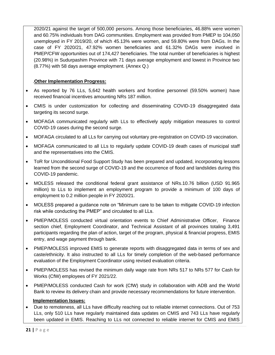2020/21 against the target of 500,000 persons. Among those beneficiaries, 46.88% were women and 60.75% individuals from DAG communities. Employment was provided from PMEP to 104,050 unemployed in FY 2019/20, of which 45.13% were women, and 59.80% were from DAGs. In the case of FY 2020/21, 47.92% women beneficiaries and 61.32% DAGs were involved in PMEP/CFW opportunities out of 174,427 beneficiaries. The total number of beneficiaries is highest (20.98%) in Sudurpashim Province with 71 days average employment and lowest in Province two (8.77%) with 58 days average employment. (Annex Q.)

### .**Other Implementation Progress:**

- As reported by 76 LLs, 5,642 health workers and frontline personnel (59.50% women) have received financial incentives amounting NRs 187 million.
- CMIS is under customization for collecting and disseminating COVID-19 disaggregated data targeting its second surge.
- MOFAGA communicated regularly with LLs to effectively apply mitigation measures to control COVID-19 cases during the second surge.
- MOFAGA circulated to all LLs for carrying out voluntary pre-registration on COVID-19 vaccination.
- MOFAGA communicated to all LLs to regularly update COVID-19 death cases of municipal staff and the representatives into the CMIS.
- ToR for Unconditional Food Support Study has been prepared and updated, incorporating lessons learned from the second surge of COVID-19 and the occurrence of flood and landslides during this COVID-19 pandemic.
- MOLESS released the conditional federal grant assistance of NRs.10.76 billion (USD 91.965 million) to LLs to implement an employment program to provide a minimum of 100 days of employment to 0.2 million people in FY 2020/21.
- MOLESS prepared a guidance note on "Minimum care to be taken to mitigate COVID-19 infection risk while conducting the PMEP" and circulated to all LLs.
- PMEP/MOLESS conducted virtual orientation events to Chief Administrative Officer, Finance section chief, Employment Coordinator, and Technical Assistant of all provinces totaling 3,491 participants regarding the plan of action, target of the program, physical & financial progress, EMIS entry, and wage payment through bank.
- PMEP/MOLESS improved EMIS to generate reports with disaggregated data in terms of sex and caste/ethnicity. It also instructed to all LLs for timely completion of the web-based performance evaluation of the Employment Coordinator using revised evaluation criteria.
- PMEP/MOLESS has revised the minimum daily wage rate from NRs 517 to NRs 577 for Cash for Works (CfW) employees of FY 2021/22.
- PMEP/MOLESS conducted Cash for work (CfW) study in collaboration with ADB and the World Bank to review its delivery chain and provide necessary recommendations for future intervention.

# **Implementation Issues:**

• Due to remoteness, all LLs have difficulty reaching out to reliable internet connections. Out of 753 LLs, only 510 LLs have regularly maintained data updates on CMIS and 743 LLs have regularly been updated in EMIS. Reaching to LLs not connected to reliable internet for CMIS and EMIS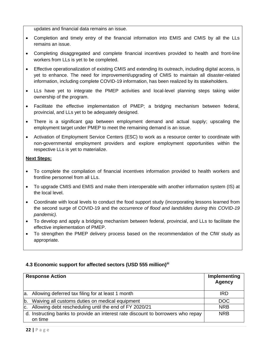updates and financial data remains an issue.

- Completion and timely entry of the financial information into EMIS and CMIS by all the LLs remains an issue.
- Completing disaggregated and complete financial incentives provided to health and front-line workers from LLs is yet to be completed.
- Effective operationalization of existing CMIS and extending its outreach, including digital access, is yet to enhance. The need for improvement/upgrading of CMIS to maintain all disaster-related information, including complete COVID-19 information, has been realized by its stakeholders.
- LLs have yet to integrate the PMEP activities and local-level planning steps taking wider ownership of the program.
- Facilitate the effective implementation of PMEP; a bridging mechanism between federal, provincial, and LLs yet to be adequately designed.
- There is a significant gap between employment demand and actual supply; upscaling the employment target under PMEP to meet the remaining demand is an issue.
- Activation of Employment Service Centers (ESC) to work as a resource center to coordinate with non-governmental employment providers and explore employment opportunities within the respective LLs is yet to materialize.

#### **Next Steps:**

- To complete the compilation of financial incentives information provided to health workers and frontline personnel from all LLs.
- To upgrade CMIS and EMIS and make them interoperable with another information system (IS) at the local level.
- Coordinate with local levels to conduct the food support study (incorporating lessons learned from the second surge of COVID-19 and the *occurrence of flood and landslides during this COVID-19 pandemic).*
- To develop and apply a bridging mechanism between federal, provincial, and LLs to facilitate the effective implementation of PMEP.
- To strengthen the PMEP delivery process based on the recommendation of the CfW study as appropriate.

# **4.3 Economic support for affected sectors (USD 555 million)iii**

| <b>Response Action</b>                                                                      | Implementing<br>Agency |
|---------------------------------------------------------------------------------------------|------------------------|
| a. Allowing deferred tax filing for at least 1 month                                        | IRD                    |
| b. Waiving all customs duties on medical equipment                                          | <b>DOC</b>             |
| c. Allowing debt rescheduling until the end of FY 2020/21                                   | <b>NRB</b>             |
| d. Instructing banks to provide an interest rate discount to borrowers who repay<br>on time | <b>NRB</b>             |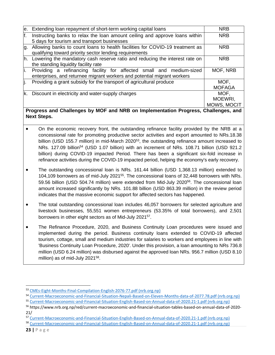| le. | Extending loan repayment of short-term working capital loans                   | <b>NRB</b>    |
|-----|--------------------------------------------------------------------------------|---------------|
| lf. | Instructing banks to relax the loan amount ceiling and approve loans within    | <b>NRB</b>    |
|     | 5 days for tourism and transport businesses                                    |               |
| lg. | Allowing banks to count loans to health facilities for COVID-19 treatment as   | <b>NRB</b>    |
|     | qualifying toward priority sector lending requirements                         |               |
|     | h. Lowering the mandatory cash reserve ratio and reducing the interest rate on | <b>NRB</b>    |
|     | the standing liquidity facility rate                                           |               |
| i.  | Providing a refinancing facility for affected small and medium-sized           | MOF, NRB      |
|     | enterprises, and returnee migrant workers and potential migrant workers        |               |
| lj. | Providing a grant subsidy for the transport of agricultural produce            | MOF,          |
|     |                                                                                | <b>MOFAGA</b> |
|     | k. Discount in electricity and water-supply charges                            | MOF.          |
|     |                                                                                | MOEWRI,       |
|     |                                                                                | MOWS, MOCIT   |
|     | asses and Ohellenges by MOF and NDD on Implementation Dromps                   | Oballanana an |

# **Progress and Challenges by MOF and NRB on Implementation Progress, Challenges, and Next Steps.**

- On the economic recovery front, the outstanding refinance facility provided by the NRB at a concessional rate for promoting productive sector activities and export amounted to NRs.18.38 billion (USD 155.7 million) in mid-March 2020<sup>53</sup>, the outstanding refinance amount increased to NRs. 127.09 billion<sup>54</sup> (USD 1.07 billion) with an increment of NRs. 108.71 billion (USD 921.2 billion) during COVID-19 impacted Period. There has been a significant six-fold increase in refinance activities during the COVID-19 impacted period, helping the economy's early recovery.
- The outstanding concessional loan is NRs. 161.44 billion (USD 1,368.13 million) extended to 104,109 borrowers as of mid-July 2021<sup>55</sup>. The concessional loans of 32,448 borrowers with NRs. 59.56 billion (USD 504.74 million) were extended from Mid-July 2020<sup>56</sup>. The concessional loan amount increased significantly by NRs. 101.88 billion (USD 863.39 million) in the review period indicates that the massive economic support for affected sectors has happened.
- The total outstanding concessional loan includes 46,057 borrowers for selected agriculture and livestock businesses, 55,551 women entrepreneurs (53.35% of total borrowers), and 2,501 borrowers in other eight sectors as of Mid-July 2021<sup>57</sup>.
- The Refinance Procedure, 2020, and Business Continuity Loan procedures were issued and implemented during the period. Business continuity loans extended to COVID-19 affected tourism, cottage, small and medium industries for salaries to workers and employees in line with 'Business Continuity Loan Procedure, 2020'. Under this provision, a loan amounting to NRs 736.8 million (USD 6.24 million) was disbursed against the approved loan NRs. 956.7 million (USD 8.10 million) as of mid-July 2021<sup>58</sup>.

<sup>53</sup> [CMEs-Eight-Months-Final-Compilation-English-2076-77.pdf \(nrb.org.np\)](https://www.nrb.org.np/contents/uploads/2020/04/CMEs-Eight-Months-Final-Compilation-English-2076-77.pdf)

<sup>54</sup> [Current-Macroeconomic-and-Financial-Situation-Nepali-Based-on-Eleven-Months-data-of-2077.78.pdf \(nrb.org.np\)](https://www.nrb.org.np/contents/uploads/2021/07/Current-Macroeconomic-and-Financial-Situation-Nepali-Based-on-Eleven-Months-data-of-2077.78.pdf)

<sup>55</sup> [Current-Macroeconomic-and-Financial-Situation-English-Based-on-Annual-data-of-2020.21-1.pdf \(nrb.org.np\)](https://www.nrb.org.np/contents/uploads/2021/08/Current-Macroeconomic-and-Financial-Situation-English-Based-on-Annual-data-of-2020.21-1.pdf)

<sup>56</sup> https://www.nrb.org.np/red/current-macroeconomic-and-financial-situation-tables-based-on-annual-data-of-2020- 21/

<sup>57</sup> [Current-Macroeconomic-and-Financial-Situation-English-Based-on-Annual-data-of-2020.21-1.pdf \(nrb.org.np\)](https://www.nrb.org.np/contents/uploads/2021/08/Current-Macroeconomic-and-Financial-Situation-English-Based-on-Annual-data-of-2020.21-1.pdf)

<sup>58</sup> [Current-Macroeconomic-and-Financial-Situation-English-Based-on-Annual-data-of-2020.21-1.pdf \(nrb.org.np\)](https://www.nrb.org.np/contents/uploads/2021/08/Current-Macroeconomic-and-Financial-Situation-English-Based-on-Annual-data-of-2020.21-1.pdf)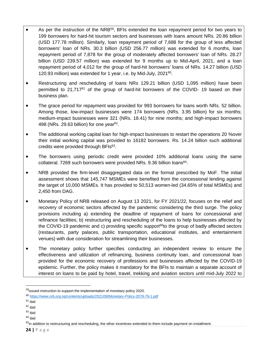- As per the instruction of the NRB<sup>59</sup>, BFIs extended the loan repayment period for two years to 199 borrowers for hard-hit tourism sectors and businesses with loans amount NRs. 20.86 billion (USD 177.78 million). Similarly, loan repayment period of 7,688 for the group of less affected borrowers' loan of NRs. 30.3 billion (USD 256.77 million) was extended for 6 months, loan repayment period of 7,878 for the group of moderately affected borrowers' loan of NRs. 28.27 billion (USD 239.57 million) was extended for 9 months up to Mid-April, 2021, and a loan repayment period of 4,012 for the group of hard-hit borrowers' loans of NRs. 14.27 billion (USD 120.93 million) was extended for 1 year, i.e. by Mid-July, 2021<sup>60</sup>.
- Restructuring and rescheduling of loans NRs 129.21 billion (USD 1,095 million) have been permitted to  $21.717^{61}$  of the group of hard-hit borrowers of the COVID- 19 based on their business plan.
- The grace period for repayment was provided for 993 borrowers for loans worth NRs. 52 billion. Among those, low-impact businesses were 174 borrowers (NRs. 3.95 billion) for six months; medium-impact businesses were 321 (NRs. 18.41) for nine months; and high-impact borrowers 498 (NRs. 29.63 billion) for one year $62$ .
- The additional working capital loan for high-impact businesses to restart the operations 20 % over their initial working capital was provided to 16182 borrowers. Rs. 14.24 billion such additional credits were provided through BFIs<sup>63</sup>.
- The borrowers using periodic credit were provided 10% additional loans using the same collateral. 7269 such borrowers were provided NRs. 9.36 billion loans<sup>64</sup>.
- NRB provided the firm-level disaggregated data on the format prescribed by MoF. The initial assessment shows that 145,747 MSMEs were benefited from the concessional lending against the target of 10,000 MSMEs. It has provided to 50,513 women-led (34.65% of total MSMEs) and 2,450 from DAG.
- Monetary Policy of NRB released on August 13 2021, for FY 2021/22, focuses on the relief and recovery of economic sectors affected by the pandemic considering the third surge. The policy provisions including a) extending the deadline of repayment of loans for concessional and refinance facilities; b) restructuring and rescheduling of the loans to help businesses affected by the COVID-19 pandemic and c) providing specific support<sup>65</sup>to the group of badly affected sectors (restaurants, party palaces, public transportation, educational institutes, and entertainment venues) with due consideration for streamlining their businesses.
- The monetary policy further specifies conducting an independent review to ensure the effectiveness and utilization of refinancing, business continuity loan, and concessional loan provided for the economic recovery of professions and businesses affected by the COVID-19 epidemic. Further, the policy makes it mandatory for the BFIs to maintain a separate account of interest on loans to be paid by hotel, travel, trekking and aviation sectors until mid-July 2022 to

<sup>59</sup>issued instruction to support the implementation of monetary policy 2020.

<sup>60</sup> <https://www.nrb.org.np/contents/uploads/2021/08/Monetary-Policy-2078-79-1.pdf>

 $61$  ibid

 $62$  ibid

 $63$  ibid

<sup>64</sup> ibid

 $65$ in addition to restructuring and rescheduling, the other incentives extended to them include payment on installment.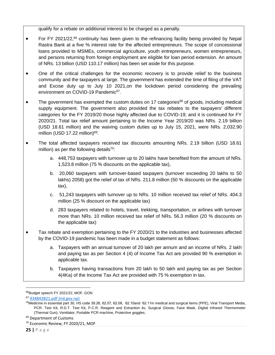qualify for a rebate on additional interest to be charged as a penalty.

- For FY 2021/22,<sup>66</sup> continuity has been given to the refinancing facility being provided by Nepal Rastra Bank at a five % interest rate for the affected entrepreneurs. The scope of concessional loans provided to MSMEs, commercial agriculture, youth entrepreneurs, women entrepreneurs, and persons returning from foreign employment are eligible for loan period extension. An amount of NRs. 13 billion (USD 110.17 million) has been set aside for this purpose.
- One of the critical challenges for the economic recovery is to provide relief to the business community and the taxpayers at large. The government has extended the time of filing of the VAT and Excise duty up to July 10 2021,on the lockdown period considering the prevailing environment on COVID-19 Pandemic<sup>67</sup>.
- The government has exempted the custom duties on 17 categories<sup>68</sup> of goods, including medical supply equipment. The government also provided the tax rebates to the taxpayers' different categories for the FY 2019/20 those highly affected due to COVID-19; and it is continued for FY 2020/21. Total tax relief amount pertaining to the Income Year 2019/20 was NRs. 2.19 billion (USD 18.61 million) and the waiving custom duties up to July 15, 2021, were NRs. 2,032.90 million (USD 17.22 million)<sup>69</sup>.
- The total affected taxpayers received tax discounts amounting NRs. 2.19 billion (USD 18.61 million) as per the following details<sup>70</sup>:
	- a. 448,753 taxpayers with turnover up to 20 lakhs have benefited from the amount of NRs. 1,523.8 million (75 % discounts on the applicable tax),
	- b. 20,060 taxpayers with turnover-based taxpayers (turnover exceeding 20 lakhs to 50 lakhs) 2058) got the relief of tax of NRs. 211.8 million (50 % discounts on the applicable tax),
	- c. 51,243 taxpayers with turnover up to NRs. 10 million received tax relief of NRs. 404.3 million (25 % discount on the applicable tax)
	- d. 283 taxpayers related to hotels, travel, trekking, transportation, or airlines with turnover more than NRs. 10 million received tax relief of NRs. 56.3 million (20 % discounts on the applicable tax)
- Tax rebate and exemption pertaining to the FY 2020/21 to the industries and businesses affected by the COVID-19 pandemic has been made in a budget statement as follows:
	- a. Taxpayers with an annual turnover of 20 lakh per annum and an income of NRs. 2 lakh and paying tax as per Section 4 (4) of Income Tax Act are provided 90 % exemption in applicable tax.
	- b. Taxpayers having transactions from 20 lakh to 50 lakh and paying tax as per Section 4(4Ka) of the Income Tax Act are provided with 75 % exemption in tax.

<sup>69</sup> Department of Customs

<sup>&</sup>lt;sup>66</sup>Budget speech FY 2021/22, MOF, GON

<sup>67</sup> [934843821.pdf \(ird.gov.np\)](https://ird.gov.np/public/pdf/934843821.pdf)

<sup>68</sup>Medicine in essential part 30, HS code 39.26, 62.07, 62.08, 62.10and 62.11in medical and surgical items (PPE), Viral Transport Media, PCR. Test Kit, R.D.T. Test Kit, P.C.R. Reagent and Extraction its, Surgical Gloves, Face Mask, Digital Infrared Thermometer (Thermal Gun), Ventilator, Portable PCR machine, Protective goggles.

<sup>70</sup> Economic Review, FY 2020/21, MOF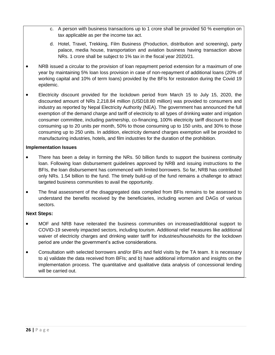- c. A person with business transactions up to 1 crore shall be provided 50 % exemption on tax applicable as per the income tax act.
- d. Hotel, Travel, Trekking, Film Business (Production, distribution and screening), party palace, media house, transportation and aviation business having transaction above NRs. 1 crore shall be subject to 1% tax in the fiscal year 2020/21.
- NRB issued a circular to the provision of loan repayment period extension for a maximum of one year by maintaining 5% loan loss provision in case of non-repayment of additional loans (20% of working capital and 10% of term loans) provided by the BFIs for restoration during the Covid 19 epidemic.
- Electricity discount provided for the lockdown period from March 15 to July 15, 2020, the discounted amount of NRs 2,218.84 million (USD18.80 million) was provided to consumers and industry as reported by Nepal Electricity Authority (NEA). The government has announced the full exemption of the demand charge and tariff of electricity to all types of drinking water and irrigation consumer committee, including partnership, co-financing, 100% electricity tariff discount to those consuming up to 20 units per month, 50% to those consuming up to 150 units, and 30% to those consuming up to 250 units. In addition, electricity demand charges exemption will be provided to manufacturing industries, hotels, and film industries for the duration of the prohibition.

#### **Implementation Issues**

- There has been a delay in forming the NRs. 50 billion funds to support the business continuity loan. Following loan disbursement guidelines approved by NRB and issuing instructions to the BFIs, the loan disbursement has commenced with limited borrowers. So far, NRB has contributed only NRs. 1.54 billion to the fund. The timely build-up of the fund remains a challenge to attract targeted business communities to avail the opportunity.
- The final assessment of the disaggregated data compiled from BFIs remains to be assessed to understand the benefits received by the beneficiaries, including women and DAGs of various sectors.

### **Next Steps:**

- MOF and NRB have reiterated the business communities on increased/additional support to COVID-19 severely impacted sectors, including tourism. Additional relief measures like additional waiver of electricity charges and drinking water tariff for industries/households for the lockdown period are under the government's active considerations.
- Consultation with selected borrowers and/or BFIs and field visits by the TA team. It is necessary to a) validate the data received from BFIs; and b) have additional information and insights on the implementation process. The quantitative and qualitative data analysis of concessional lending will be carried out.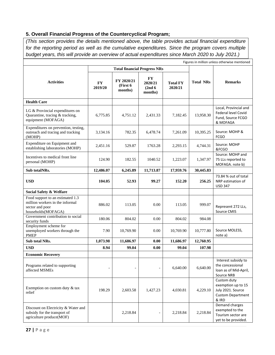# <span id="page-27-0"></span>**5. Overall Financial Progress of the Countercyclical Program;**

*(This section provides the details mentioned above, the table provides actual financial expenditure for the reporting period as well as the cumulative expenditures. Since the program covers multiple budget years, this will provide an overview of actual expenditures since March 2020 to July 2021.)*

| Figures in million unless otherwise mentioned                                                                |                      |                                     |                                                 |                            |                  |                                                                                             |
|--------------------------------------------------------------------------------------------------------------|----------------------|-------------------------------------|-------------------------------------------------|----------------------------|------------------|---------------------------------------------------------------------------------------------|
|                                                                                                              |                      | <b>Total financial Progress NRs</b> |                                                 |                            |                  |                                                                                             |
| <b>Activities</b>                                                                                            | <b>FY</b><br>2019/20 | FY 2020/21<br>(First 6<br>months)   | FY<br>2020/21<br>(2nd <sub>6</sub> )<br>months) | <b>Total FY</b><br>2020/21 | <b>Total NRs</b> | <b>Remarks</b>                                                                              |
| <b>Health Care</b>                                                                                           |                      |                                     |                                                 |                            |                  |                                                                                             |
| LG & Provincial expenditures on<br>Quarantine, tracing & tracking,<br>equipment (MOFAGA)                     | 6,775.85             | 4,751.12                            | 2,431.33                                        | 7,182.45                   | 13,958.30        | Local, Provincial and<br>Federal level Covid<br>Fund, Source FCGO<br>& MOFAGA               |
| Expenditures on prevention, testing,<br>outreach and tracing and tracking<br>(MOHP)                          | 3,134.16             | 782.35                              | 6,478.74                                        | 7,261.09                   | 10,395.25        | Source: MOHP &<br><b>FCGO</b>                                                               |
| Expenditure on Equipment and<br>establishing laboratories (MOHP)                                             | 2,451.16             | 529.87                              | 1763.28                                         | 2,293.15                   | 4,744.31         | Source: MOHP<br>&FCGO                                                                       |
| Incentives to medical front line<br>personal (MOHP)                                                          | 124.90               | 182.55                              | 1040.52                                         | 1,223.07                   | 1,347.97         | Source: MOHP and<br>75 LLs reported to<br>MOFAGA. note b)                                   |
| Sub totalNRs.                                                                                                | 12,486.07            | 6,245.89                            | 11,713.87                                       | 17,959.76                  | 30,445.83        |                                                                                             |
| <b>USD</b>                                                                                                   | 104.05               | 52.93                               | 99.27                                           | 152.20                     | 256.25           | 73.84 % out of total<br>NRP estimation of<br><b>USD 347</b>                                 |
| Social Safety & Welfare                                                                                      |                      |                                     |                                                 |                            |                  |                                                                                             |
| Food support to an estimated 1.3<br>million workers in the informal<br>sector and poor<br>households(MOFAGA) | 886.02               | 113.05                              | 0.00                                            | 113.05                     | 999.07           | Represent 272 LLs,<br>Source CMIS                                                           |
| Government contribution to social<br>security funds                                                          | 180.06               | 804.02                              | 0.00                                            | 804.02                     | 984.08           |                                                                                             |
| Employment scheme for<br>unemployed workers through the<br><b>PMEP</b>                                       | 7.90                 | 10,769.90                           | 0.00                                            | 10,769.90                  | 10,777.80        | Source MOLESS,<br>note a)                                                                   |
| Sub total NRs.                                                                                               | 1,073.98             | 11,686.97                           | 0.00                                            | 11,686.97                  | 12,760.95        |                                                                                             |
| <b>USD</b>                                                                                                   | 8.94                 | 99.04                               | 0.00                                            | 99.04                      | 107.98           |                                                                                             |
| <b>Economic Recovery</b>                                                                                     |                      |                                     |                                                 |                            |                  |                                                                                             |
| Programs related to supporting<br>affected MSMEs                                                             |                      |                                     | $\overline{\phantom{0}}$                        | 6,640.00                   | 6,640.00         | Interest subsidy to<br>the concessional<br>loan as of Mid-April,<br>Source NRB              |
| Exemption on custom duty $&$ tax<br>relief                                                                   | 198.29               | 2,603.58                            | 1,427.23                                        | 4,030.81                   | 4,229.10         | Custom duty<br>exemption up to 15<br>July 2021. Source<br><b>Custom Department</b><br>& IRD |
| Discount on Electricity & Water and<br>subsidy for the transport of<br>agriculture produce(MOF)              |                      | 2,218.84                            | $\overline{\phantom{a}}$                        | 2,218.84                   | 2,218.84         | Demand charges<br>exempted to the<br>Tourism sector are<br>yet to be provided.              |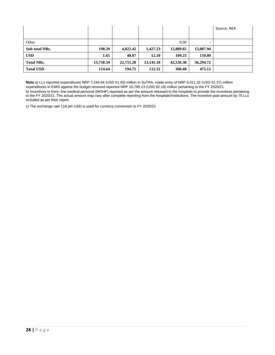|                   |           |           |           |           |           | Source: NEA |
|-------------------|-----------|-----------|-----------|-----------|-----------|-------------|
|                   |           |           |           |           |           |             |
| Other             |           |           |           | 0.00      |           |             |
| Sub total NRs.    | 198.29    | 4,822.42  | 1,427.23  | 12,889.65 | 13,087.94 |             |
| <b>USD</b>        | 1.65      | 40.87     | 12.10     | 109.23    | 110.89    |             |
| <b>Total NRs.</b> | 13,758.34 | 22,755.28 | 13,141.10 | 42,536.38 | 56,294.72 |             |
| <b>Total USD</b>  | 114.64    | 194.75    | 112.32    | 360.48    | 475.12    |             |

**Note** a) LLs reported expenditures NRP 7,244.64 (USD 61.92) million in SuTRA, made entry of NRP 6,011.32 (USD 51.37) million expenditures in EMIS against the budget received reported NRP 10,785.13 (USD 92.18) million pertaining to the FY 2020/21. b) Incentives to front- line medical personal (MOHP) reported as per the amount released to the hospitals to provide the incentives pertaining to the FY 2020/21. The actual amount may vary after complete reporting from the hospitals/Institutions. The incentive paid amount by 75 LLs included as per their report.

c) The exchange rate 118 per USD is used for currency conversion to FY 2020/21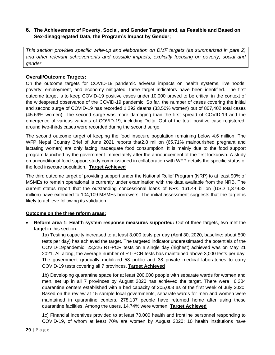# <span id="page-29-0"></span>**6. The Achievement of Poverty, Social, and Gender Targets and, as Feasible and Based on Sex-disaggregated Data, the Program's Impact by Gender;**

*This section provides specific write-up and elaboration on DMF targets (as summarized in para 2) and other relevant achievements and possible impacts, explicitly focusing on poverty, social and gender*

# **Overall/Outcome Targets:**

On the outcome targets for COVID-19 pandemic adverse impacts on health systems, livelihoods, poverty, employment, and economy mitigated, three target indicators have been identified. The first outcome target is to keep COVID-19 positive cases under 10,000 proved to be critical in the context of the widespread observance of the COVID-19 pandemic. So far, the number of cases covering the initial and second surge of COVID-19 has recorded 1,292 deaths (33.50% women) out of 807,402 total cases (45.69% women). The second surge was more damaging than the first spread of COVID-19 and the emergence of various variants of COVID-19, including Delta. Out of the total positive case registered, around two-thirds cases were recorded during the second surge.

The second outcome target of keeping the food insecure population remaining below 4.6 million. The WFP Nepal Country Brief of June 2021 reports that2.8 million (65.71% malnourished pregnant and lactating women) are only facing inadequate food consumption. It is mainly due to the food support program launched by the government immediately after the announcement of the first lockdown. A study on unconditional food support study commissioned in collaboration with WFP details the specific status of the food insecure population. **Target Achieved**

The third outcome target of providing support under the National Relief Program (NRP) to at least 90% of MSMEs to remain operational is currently under examination with the data available from the NRB. The current status report that the outstanding concessional loans of NRs. 161.44 billion (USD 1,379.82 million) have extended to 104,109 MSMEs borrowers. The initial assessment suggests that the target is likely to achieve following its validation.

#### **Outcome on the three reform areas:**

• **Reform area 1: Health system response measures supported:** Out of three targets, two met the target in this section.

1a) Testing capacity increased to at least 3,000 tests per day (April 30, 2020, baseline: about 500 tests per day) has achieved the target. The targeted indicator underestimated the potentials of the COVID-19pandemic. 23,226 RT-PCR tests on a single day (highest) achieved was on May 21 2021. All along, the average number of RT-PCR tests has maintained above 3,000 tests per day. The government gradually mobilized 58 public and 38 private medical laboratories to carry COVID-19 tests covering all 7 provinces. **Target Achieved** 

1b) Developing quarantine space for at least 200,000 people with separate wards for women and men, set up in all 7 provinces by August 2020 has achieved the target. There were 6,304 quarantine centers established with a bed capacity of 205,003 as of the first week of July 2020. Based on the review at 15 sample local governments, separate wards for men and women were maintained in quarantine centers. 278,137 people have returned home after using these quarantine facilities. Among the users, 14.74% were women. **Target Achieved**

1c) Financial incentives provided to at least 70,000 health and frontline personnel responding to COVID-19, of whom at least 70% are women by August 2020: 10 health institutions have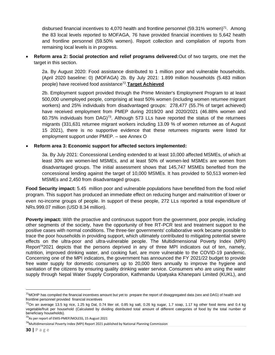disbursed financial incentives to 4,070 health and frontline personnel (59.31% women)<sup>71</sup>. Among the 83 local levels reported to MOFAGA, 76 have provided financial incentives to 5,642 health and frontline personnel (59.50% women). Report collection and compilation of reports from remaining local levels is in progress.

• **Reform area 2: Social protection and relief programs delivered:**Out of two targets, one met the target in this section.

2a. By August 2020: Food assistance distributed to 1 million poor and vulnerable households. (April 2020 baseline: 0) (MOFAGA) 2b. By July 2021: 1.899 million households (5.483 million people) have received food assistance<sup>72</sup> .**Target Achieved**

2b. Employment support provided through the Prime Minister's Employment Program to at least 500,000 unemployed people, comprising at least 50% women (including women returnee migrant workers) and 25% individuals from disadvantaged groups: 278,477 (55.7% of target achieved) have received employment from PMEP during 2019/20 and 2020/2021 (46.88% women and 60.75% individuals from DAG $7^3$ . Although 573 LLs have reported the status of the returnees migrants (331,631 returnee migrant workers including 13.09 % of women returnee as of August 15 2021), there is no supportive evidence that these returnees migrants were listed for employment support under PMEP. – see Annex O

#### • **Reform area 3: Economic support for affected sectors implemented:**

3a. By July 2021: Concessional Lending extended to at least 10,000 affected MSMEs, of which at least 30% are women-led MSMEs, and at least 50% of women-led MSMEs are women from disadvantaged groups. The initial assessment shows that 145,747 MSMEs benefited from the concessional lending against the target of 10,000 MSMEs. It has provided to 50,513 women-led MSMEs and 2,450 from disadvantaged groups.

**Food Security impact:** 5.45 million poor and vulnerable populations have benefitted from the food relief program. This support has produced an immediate effect on reducing hunger and malnutrition of lower or even no-income groups of people. In support of these people, 272 LLs reported a total expenditure of NRs.999.07 million (USD 8.34 million).

**Poverty impact:** With the proactive and continuous support from the government, poor people, including other segments of the society, have the opportunity of free RT-PCR test and treatment support to the positive cases with normal conditions. The three-tier governments' collaborative work became possible to trace the poor households in providing support, which ultimately contributed to mitigating potential severe effects on the ultra-poor and ultra-vulnerable people. The Multidimensional Poverty Index (MPI) Report<sup>74</sup>2021 depicts that the persons deprived in any of three MPI indicators out of ten, namely, nutrition, improved drinking water, and cooking fuel, are more vulnerable to the COVID-19 pandemic. Concerning one of the MPI indicators, the government has announced the FY 2021/22 budget to provide free water supply for domestic consumers up to 20,000 liters annually to improve the hygiene and sanitation of the citizens by ensuring quality drinking water service. Consumers who are using the water supply through Nepal Water Supply Corporation, Kathmandu Upatyaka Khanepani Limited (KUKL), and

 $71$ MOHP has compiled the financial incentives amount but yet to prepare the report of disaggregated data (sex and DAG) of health and frontline personnel provided financial incentives

 $^{72}$ On an average 13.5 kg rice, 1.25 kg Dal, 0.74 liter oil, 0.85 kg salt, 0.26 kg sugar, 1.7 soap, 1.17 kg other food items and 0.4 kg vegetable/fruit per household (Calculated by dividing distributed total amount of different categories of food by the total number of beneficiary households).

<sup>73</sup>As per report of EMIS-PMEP/MOLESS, 15 August 2021

 $74$ Multidimensional Poverty Index (MPI) Report 2021 published by National Planning Commission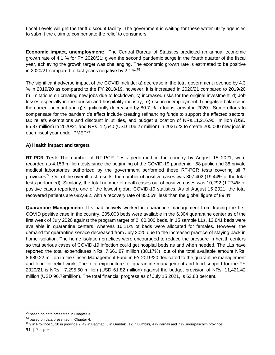Local Levels will get the tariff discount facility. The government is waiting for these water utility agencies to submit the claim to compensate the relief to consumers.

**Economic impact, unemployment:** The Central Bureau of Statistics predicted an annual economic growth rate of 4.1 % for FY 2020/21; given the second pandemic surge in the fourth quarter of the fiscal year, achieving the growth target was challenging. The economic growth rate is estimated to be positive in 2020/21 compared to last year's negative by 2.1  $\%^{75}$ .

The significant adverse impact of the COVID include: a) decrease in the total government revenue by 4.3 % in 2019/20 as compared to the FY 2018/19, however, it is increased in 2020/21 compared to 2019/20 b) limitations on creating new jobs due to lockdown, c) increased risks for the original investment, d) Job losses especially in the tourism and hospitality industry, e) rise in unemployment, f) negative balance in the current account and g) significantly decreased by 80.7 % in tourist arrival in 2020 Some efforts to compensate for the pandemic's effect include creating refinancing funds to support the affected sectors, tax reliefs exemptions and discount in utilities, and budget allocation of NRs.11,216.90 million (USD 95.87 million) in 2020/21 and NRs. 12,540 (USD 106.27 million) in 2021/22 to create 200,000 new jobs in each fiscal year under PMEP<sup>76</sup>.

### **A) Health impact and targets**

**RT-PCR Test:** The number of RT-PCR Tests performed in the country by August 15 2021, were recorded as 4.153 million tests since the beginning of the COVID-19 pandemic. 58 public and 38 private medical laboratories authorized by the government performed these RT-PCR tests covering all 7 provinces<sup>77</sup>. Out of the overall test results, the number of positive cases was 807,402 (19.44% of the total tests performed). Similarly, the total number of death cases out of positive cases was 10,292 (1.274% of positive cases reported), one of the lowest global COVID-19 statistics. As of August 15 2021, the total recovered patients are 682,682, with a recovery rate of 85.55% less than the global figure of 89.4%.

**Quarantine Management:** LLs had actively worked in quarantine management from tracing the first COVID positive case in the country. 205,003 beds were available in the 6,304 quarantine center as of the first week of July 2020 against the program target of 2, 00,000 beds. In 15 sample LLs, 12,841 beds were available in quarantine centers, whereas 16.11% of beds were allocated for females. However, the demand for quarantine service decreased from July 2020 due to the increased practice of staying back in home isolation. The home isolation practices were encouraged to reduce the pressure in health centers so that serious cases of COVID-19 infection could get hospital beds as and when needed. The LLs have reported the total expenditures NRs. 7,661.87 million (88.17%) out of the total available amount NRs. 8,689.22 million in the Crises Management Fund in FY 2019/20 dedicated to the quarantine management and food for relief work. The total expenditure for quarantine management and food support for the FY 2020/21 is NRs. 7,295.50 million (USD 61.82 million) against the budget provision of NRs. 11,421.42 million (USD 96.79million). The total financial progress as of July 15 2021, is 63.88 percent.

<sup>&</sup>lt;sup>75</sup> based on data presented in Chapter 3

<sup>&</sup>lt;sup>76</sup> based on data presented in Chapter 4.

 $77$  9 in Province 1, 10 in province 2, 49 in Bagmati, 5 in Gandaki, 12 in Lumbini, 4 in Karnali and 7 in Sudurpaschim province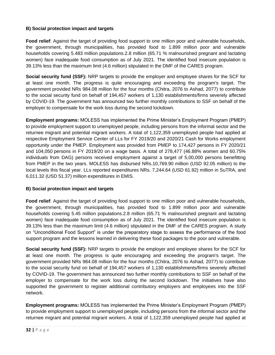# **B) Social protection impact and targets**

**Food relief**: Against the target of providing food support to one million poor and vulnerable households, the government, through municipalities, has provided food to 1.899 million poor and vulnerable households covering 5.483 million populations.2.8 million (65.71 % malnourished pregnant and lactating women) face inadequate food consumption as of July 2021. The identified food insecure population is 39.13% less than the maximum limit (4.6 million) stipulated in the DMF of the CARES program.

**Social security fund (SSF):** NRP targets to provide the employer and employee shares for the SCF for at least one month. The progress is quite encouraging and exceeding the program's target. The government provided NRs 984.08 million for the four months (Chitra, 2076 to Ashad, 2077) to contribute to the social security fund on behalf of 194,457 workers of 1,130 establishments/firms severely affected by COVID-19. The government has announced two further monthly contributions to SSF on behalf of the employer to compensate for the work loss during the second lockdown.

**Employment programs:** MOLESS has implemented the Prime Minister's Employment Program (PMEP) to provide employment support to unemployed people, including persons from the informal sector and the returnee migrant and potential migrant workers. A total of 1,122,359 unemployed people had applied at respective Employment Service Center of LLs for FY 2019/20 and 2020/21 Cash for Works employment opportunity under the PMEP. Employment was provided from PMEP to 174,427 persons in FY 2020/21 and 104,050 persons in FY 2019/20 on a wage basis. A total of 278,477 (46.88% women and 60.75% individuals from DAG) persons received employment against a target of 5,00,000 persons benefitting from PMEP in the two years. MOLESS has disbursed NRs.10,769.90 million (USD 92.05 million) to the local levels this fiscal year. LLs reported expenditures NRs. 7,244.64 (USD 61.92) million in SuTRA, and 6,011.32 (USD 51.37) million expenditures in EMIS.

### **B) Social protection impact and targets**

**Food relief**: Against the target of providing food support to one million poor and vulnerable households, the government, through municipalities, has provided food to 1.899 million poor and vulnerable households covering 5.45 million populations.2.8 million (65.71 % malnourished pregnant and lactating women) face inadequate food consumption as of July 2021. The identified food insecure population is 39.13% less than the maximum limit (4.6 million) stipulated in the DMF of the CARES program. A study on "Unconditional Food Support" is under the preparatory stage to assess the performance of the food support program and the lessons learned in delivering these food packages to the poor and vulnerable.

**Social security fund (SSF):** NRP targets to provide the employer and employee shares for the SCF for at least one month. The progress is quite encouraging and exceeding the program's target. The government provided NRs 984.08 million for the four months (Chitra, 2076 to Ashad, 2077) to contribute to the social security fund on behalf of 194,457 workers of 1,130 establishments/firms severely affected by COVID-19. The government has announced two further monthly contributions to SSF on behalf of the employer to compensate for the work loss during the second lockdown. The initiatives have also supported the government to register additional contributory employers and employees into the SSF network.

**Employment programs:** MOLESS has implemented the Prime Minister's Employment Program (PMEP) to provide employment support to unemployed people, including persons from the informal sector and the returnee migrant and potential migrant workers. A total of 1,122,359 unemployed people had applied at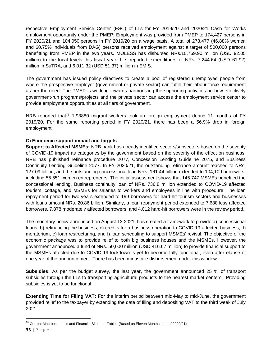respective Employment Service Center (ESC) of LLs for FY 2019/20 and 2020/21 Cash for Works employment opportunity under the PMEP. Employment was provided from PMEP to 174,427 persons in FY 2020/21 and 104,050 persons in FY 2019/20 on a wage basis. A total of 278,477 (46.88% women and 60.75% individuals from DAG) persons received employment against a target of 500,000 persons benefitting from PMEP in the two years. MOLESS has disbursed NRs.10,769.90 million (USD 92.05 million) to the local levels this fiscal year. LLs reported expenditures of NRs. 7,244.64 (USD 61.92) million in SuTRA, and 6,011.32 (USD 51.37) million in EMIS.

The government has issued policy directives to create a pool of registered unemployed people from where the prospective employer (government or private sector) can fulfill their labour force requirement as per the need. The PMEP is working towards harmonizing the supporting activities on how effectively government-run programs/projects and the private sector can access the employment service center to provide employment opportunities at all tiers of government.

NRB reported that<sup>78</sup> 1,93880 migrant workers took up foreign employment during 11 months of FY 2019/20. For the same reporting period in FY 2020/21, there has been a 56.9% drop in foreign employment.

# **C) Economic support impact and targets**

**Support to Affected MSMEs:** NRB bank has already identified sectors/subsectors based on the severity of COVID-19 impact as categories by the government based on the severity of the effect on business. NRB has published refinance procedure 2077, Concession Lending Guideline 2075, and Business Continuity Lending Guideline 2077. In FY 2020/21, the outstanding refinance amount reached to NRs. 127.09 billion, and the outstanding concessional loan NRs. 161.44 billion extended to 104,109 borrowers, including 55,551 women entrepreneurs. The initial assessment shows that 145,747 MSMEs benefited the concessional lending. Business continuity loan of NRs. 736.8 million extended to COVID-19 affected tourism, cottage, and MSMEs for salaries to workers and employees in line with procedure. The loan repayment period for two years extended to 199 borrowers for hard-hit tourism sectors and businesses with loans amount NRs. 20.86 billion. Similarly, a loan repayment period extended to 7,688 less affected borrowers, 7,878 moderately affected borrowers, and 4,012 hard-hit borrowers were in the review period.

The monetary policy announced on August 13 2021, has created a framework to provide a) concessional loans, b) refinancing the business, c) credits for a business operation to COVID-19 affected business, d) moratorium, e) loan restructuring, and f) loan scheduling to support MSMEs' revival. The objective of the economic package was to provide relief to both big business houses and the MSMEs. However, the government announced a fund of NRs. 50,000 million (USD 416.67 million) to provide financial support to the MSMEs affected due to COVID-19 lockdown is yet to become fully functional, even after elapse of one year of the announcement. There has been minuscule disbursement under this window.

**Subsidies:** As per the budget survey, the last year, the government announced 25 % of transport subsidies through the LLs to transporting agricultural products to the nearest market centers. Providing subsidies is yet to be functional.

**Extending Time for Filing VAT:** For the interim period between mid-May to mid-June, the government provided relief to the taxpayer by extending the date of filing and depositing VAT to the third week of July 2021.

<sup>78</sup> [Current Macroeconomic and Financial Situation-Tables \(Based on Eleven Months data of 2020/21\)](https://www.nrb.org.np/red/current-macroeconomic-and-financial-situation-tables-based-on-eleven-months-data-of-2020-21/)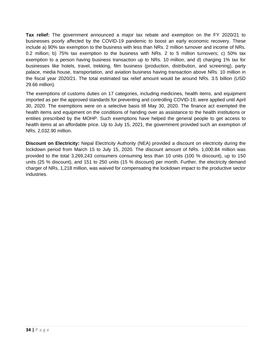**Tax relief:** The government announced a major tax rebate and exemption on the FY 2020/21 to businesses poorly affected by the COVID-19 pandemic to boost an early economic recovery. These include a) 90% tax exemption to the business with less than NRs. 2 million turnover and income of NRs. 0.2 million; b) 75% tax exemption to the business with NRs. 2 to 5 million turnovers; c) 50% tax exemption to a person having business transaction up to NRs. 10 million, and d) charging 1% tax for businesses like hotels, travel, trekking, film business (production, distribution, and screening), party palace, media house, transportation, and aviation business having transaction above NRs. 10 million in the fiscal year 2020/21. The total estimated tax relief amount would be around NRs. 3.5 billion (USD 29.66 million).

The exemptions of customs duties on 17 categories, including medicines, health items, and equipment imported as per the approved standards for preventing and controlling COVID-19, were applied until April 30, 2020. The exemptions were on a selective basis till May 30, 2020. The finance act exempted the health items and equipment on the conditions of handing over as assistance to the health institutions or entities prescribed by the MOHP. Such exemptions have helped the general people to get access to health items at an affordable price. Up to July 15, 2021, the government provided such an exemption of NRs. 2,032.90 million.

**Discount on Electricity:** Nepal Electricity Authority (NEA) provided a discount on electricity during the lockdown period from March 15 to July 15, 2020. The discount amount of NRs. 1,000.84 million was provided to the total 3,269,243 consumers consuming less than 10 units (100 % discount), up to 150 units (25 % discount), and 151 to 250 units (15 % discount) per month. Further, the electricity demand charger of NRs, 1,218 million, was waived for compensating the lockdown impact to the productive sector industries.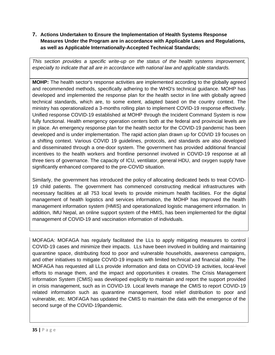# <span id="page-35-0"></span>**7. Actions Undertaken to Ensure the Implementation of Health Systems Response Measures Under the Program are in accordance with Applicable Laws and Regulations, as well as Applicable Internationally-Accepted Technical Standards;**

*This section provides a specific write-up on the status of the health systems improvement, especially to indicate that all are in accordance with national law and applicable standards.* 

**MOHP:** The health sector's response activities are implemented according to the globally agreed and recommended methods, specifically adhering to the WHO's technical guidance. MOHP has developed and implemented the response plan for the health sector in line with globally agreed technical standards, which are, to some extent, adapted based on the country context. The ministry has operationalized a 3-months rolling plan to implement COVID-19 response effectively. Unified response COVID-19 established at MOHP through the Incident Command System is now fully functional. Health emergency operation centers both at the federal and provincial levels are in place. An emergency response plan for the health sector for the COVID-19 pandemic has been developed and is under implementation. The rapid action plan drawn up for COVID 19 focuses on a shifting context. Various COVID 19 guidelines, protocols, and standards are also developed and disseminated through a one-door system. The government has provided additional financial incentives to the health workers and frontline personnel involved in COVID-19 response at all three tiers of governance. The capacity of ICU, ventilator, general HDU, and oxygen supply have significantly enhanced compared to the pre-COVID situation.

Similarly, the government has introduced the policy of allocating dedicated beds to treat COVID-19 child patients. The government has commenced constructing medical infrastructures with necessary facilities at all 753 local levels to provide minimum health facilities. For the digital management of health logistics and services information, the MOHP has improved the health management information system (HMIS) and operationalized logistic management information. In addition, IMU Nepal, an online support system of the HMIS, has been implemented for the digital management of COVID-19 and vaccination information of individuals.

MOFAGA: MOFAGA has regularly facilitated the LLs to apply mitigating measures to control COVID-19 cases and minimize their impacts. LLs have been involved in building and maintaining quarantine space, distributing food to poor and vulnerable households, awareness campaigns, and other initiatives to mitigate COVID-19 impacts with limited technical and financial ability. The MOFAGA has requested all LLs provide information and data on COVID-19 activities, local-level efforts to manage them, and the impact and opportunities it creates. The Crisis Management Information System (CMIS) was developed explicitly to maintain and report the support provided in crisis management, such as in COVID-19. Local levels manage the CMIS to report COVID-19 related information such as quarantine management, food relief distribution to poor and vulnerable, etc. MOFAGA has updated the CMIS to maintain the data with the emergence of the second surge of the COVID-19pandemic.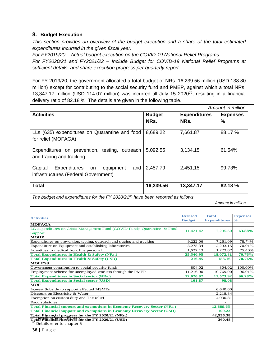# <span id="page-36-0"></span>**8. Budget Execution**

*This section provides an overview of the budget execution and a share of the total estimated expenditures incurred in the given fiscal year.*

*For FY2019/20 – Actual budget execution on the COVID-19 National Relief Programs For FY2020/21 and FY2021/22 – Include Budget for COVID-19 National Relief Programs at sufficient details, and share execution progress per quarterly report.*

For FY 2019/20, the government allocated a total budget of NRs. 16,239.56 million (USD 138.80 million) except for contributing to the social security fund and PMEP, against which a total NRs. 13,347.17 million (USD 114.07 million) was incurred till July 15 2020<sup>79</sup>, resulting in a financial delivery ratio of 82.18 %. The details are given in the following table.

|                                                                                        |               |                     | Amount in million |
|----------------------------------------------------------------------------------------|---------------|---------------------|-------------------|
| <b>Activities</b>                                                                      | <b>Budget</b> | <b>Expenditures</b> | <b>Expenses</b>   |
|                                                                                        | NRs.          | NRs.                | %                 |
| LLs (635) expenditures on Quarantine and food<br>for relief (MOFAGA)                   | 8,689.22      | 7,661.87            | 88.17 %           |
| Expenditures on prevention, testing, outreach<br>and tracing and tracking              | 5,092.55      | 3,134.15            | 61.54%            |
| Expenditures on<br>Capital<br>and<br>equipment<br>infrastructures (Federal Government) | 2,457.79      | 2,451,15            | 99.73%            |
| <b>Total</b>                                                                           | 16,239.56     | 13,347.17           | 82.18%            |

*The budget and expenditures for the FY 2020/21<sup>80</sup> have been reported as follows*

*Amount in million*

|                                                                                 | <b>Revised</b> | <b>Total</b>        | <b>Expenses</b> |
|---------------------------------------------------------------------------------|----------------|---------------------|-----------------|
| <b>Activities</b>                                                               | <b>Budget</b>  | <b>Expenditures</b> | $\frac{6}{6}$   |
| <b>MOFAGA</b>                                                                   |                |                     |                 |
| LG expenditures on Crisis Management Fund (COVID Fund): Quarantine & Food       | 11,421.42      | 7,295.50            | 63.88%          |
| Support                                                                         |                |                     |                 |
| <b>MOHP</b>                                                                     |                |                     |                 |
| Expenditures on prevention, testing, outreach and tracing and tracking          | 9,222.06       | 7,261.09            | 78.74%          |
| Expenditure on Equipment and establishing laboratories                          | 3.275.34       | 2,293.15            | 70.01%          |
| Incentives to medical front line personal                                       | 1,622.13       | 1,223.07            | 75.40%          |
| Total Expenditures in Health & Safety (NRs.)                                    | 25,540.95      | 18,072.81           | 70.76%          |
| Total Expenditures in Health & Safety (USD)                                     | 216.45         | 153.16              | 70.76%          |
| <b>MOLESS</b>                                                                   |                |                     |                 |
| Government contribution to social security funds                                | 804.02         | 804.02              | 100.00%         |
| Employment scheme for unemployed workers through the PMEP                       | 11,216.90      | 10,769.90           | 96.01%          |
| <b>Total Expenditures in Social sector (NRs.)</b>                               | 12,020.92      | 11,573.92           | 96.28%          |
| <b>Total Expenditures in Social sector (USD)</b>                                | 101.87         | 98.08               |                 |
| <b>MOF</b>                                                                      |                |                     |                 |
| Interest Subsidy to support affected MSMEs                                      |                | 6,640.00            |                 |
| Discount on Electricity & Water                                                 |                | 2,218.84            |                 |
| Exemption on custom duty and Tax relief                                         |                | 4,030.81            |                 |
| Food subsidies                                                                  |                |                     |                 |
| <b>Total Financial support and exemptions in Economy Recovery Sector (NRs.)</b> |                | 12,889.65           |                 |
| <b>Total Financial support and exemptions in Economy Recovery Sector (USD)</b>  |                | 109.23              |                 |
| <b>Total Financial progress for the FY 2020/21 (NRs.)</b>                       |                | 42,536.38           |                 |
| Total Filianceal progress for the FY 2020/21 (USD)                              |                | 360.48              |                 |
| Details refer to chapter 5                                                      |                |                     |                 |

**36 |** P a g e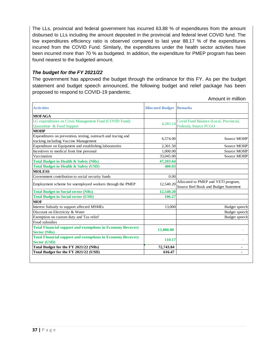The LLs, provincial and federal government has incurred 63.88 % of expenditures from the amount disbursed to LLs including the amount deposited in the provincial and federal level COVID fund. The low expenditures efficiency ratio is observed compared to last year 88.17 % of the expenditures incurred from the COVID Fund. Similarly, the expenditures under the health sector activities have been incurred more than 70 % as budgeted. In addition, the expenditure for PMEP program has been found nearest to the budgeted amount.

# *The budget for the FY 2021/22*

The government has approved the budget through the ordinance for this FY. As per the budget statement and budget speech announced, the following budget and relief package has been proposed to respond to COVID-19 pandemic.

| <b>Activities</b>                                                                                      | <b>Allocated Budget</b> | <b>Remarks</b>                                                              |
|--------------------------------------------------------------------------------------------------------|-------------------------|-----------------------------------------------------------------------------|
| <b>MOFAGA</b>                                                                                          |                         |                                                                             |
| LG expenditures on Crisis Management Fund (COVID Fund):<br>Quarantine & Food Support                   | 4.283.14                | Covid Fund Balance (Local, Provincial,<br>Federal), Source FCGO             |
| <b>MOHP</b>                                                                                            |                         |                                                                             |
| Expenditures on prevention, testing, outreach and tracing and<br>tracking including Vaccine Management | 6,574.00                | Source MOHP                                                                 |
| Expenditure on Equipment and establishing laboratories                                                 | 2,301.50                | Source MOHP                                                                 |
| Incentives to medical front line personal                                                              | 1,000.00                | Source MOHP                                                                 |
| Vaccination                                                                                            | 33,045.00               | Source MOHP                                                                 |
| <b>Total Budget in Health &amp; Safety (NRs)</b>                                                       | 47,203.64               |                                                                             |
| <b>Total Budget in Health &amp; Safety (USD)</b>                                                       | 400.03                  |                                                                             |
| <b>MOLESS</b>                                                                                          |                         |                                                                             |
| Government contribution to social security funds                                                       | 0.00                    |                                                                             |
| Employment scheme for unemployed workers through the PMEP                                              | 12,540.20               | Allocated to PMEP and YETI program,<br>Source Red Book and Budget Statement |
| <b>Total Budget in Social sector (NRs)</b>                                                             | 12,540.20               |                                                                             |
| <b>Total Budget in Social sector (USD)</b>                                                             | 106.27                  |                                                                             |
| <b>MOF</b>                                                                                             |                         |                                                                             |
| Interest Subsidy to support affected MSMEs                                                             | 13,000                  | Budget speech                                                               |
| Discount on Electricity & Water                                                                        |                         | Budget speech                                                               |
| Exemption on custom duty and Tax relief                                                                |                         | Budget speech                                                               |
| Food subsidies                                                                                         |                         |                                                                             |
| <b>Total Financial support and exemptions in Economy Recovery</b><br><b>Sector (NRs)</b>               | 13,000.00               |                                                                             |
| <b>Total Financial support and exemptions in Economy Recovery</b><br><b>Sector (USD)</b>               | 110.17                  |                                                                             |
| Total Budget for the FY 2021/22 (NRs)                                                                  | 72,743.84               |                                                                             |
| Total Budget for the FY 2021/22 (USD)                                                                  | 616.47                  |                                                                             |

Amount in million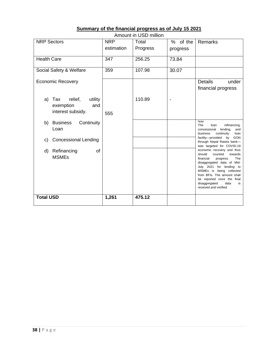|                                                                          |            | Amount in USD million |                |                                                                                                                                                                                                                                                                                                         |
|--------------------------------------------------------------------------|------------|-----------------------|----------------|---------------------------------------------------------------------------------------------------------------------------------------------------------------------------------------------------------------------------------------------------------------------------------------------------------|
| <b>NRP Sectors</b>                                                       | <b>NRP</b> | Total                 | $\%$<br>of the | Remarks                                                                                                                                                                                                                                                                                                 |
|                                                                          | estimation | Progress              | progress       |                                                                                                                                                                                                                                                                                                         |
| <b>Health Care</b>                                                       | 347        | 256.25                | 73.84          |                                                                                                                                                                                                                                                                                                         |
| Social Safety & Welfare                                                  | 359        | 107.98                | 30.07          |                                                                                                                                                                                                                                                                                                         |
| <b>Economic Recovery</b>                                                 |            |                       |                | <b>Details</b><br>under<br>financial progress                                                                                                                                                                                                                                                           |
| Tax<br>relief,<br>utility<br>a)<br>exemption<br>and<br>interest subsidy. | 555        | 110.89                |                |                                                                                                                                                                                                                                                                                                         |
| b)<br><b>Business</b><br>Continuity<br>Loan                              |            |                       |                | Note:<br>The<br>refinancing,<br>loan<br>concessional<br>lending,<br>and<br>business<br>continuity<br>loan                                                                                                                                                                                               |
| <b>Concessional Lending</b><br>C)                                        |            |                       |                | facility-provided<br>by<br><b>GON</b><br>through Nepal Rastra bank-<br>was targeted for COVID-19                                                                                                                                                                                                        |
| Refinancing<br>d)<br>οf<br><b>MSMEs</b>                                  |            |                       |                | economic recovery and thus<br>should<br>counted<br>towards<br>financial<br>progress.<br>The<br>disaggregated data of Mid-<br>July 2021 for lending to<br>MSMEs is being collected<br>from BFIs. The amount shall<br>be reported once the final<br>disaggregated<br>data<br>is<br>received and verified. |
| <b>Total USD</b>                                                         | 1,261      | 475.12                |                |                                                                                                                                                                                                                                                                                                         |

# **Summary of the financial progress as of July 15 2021**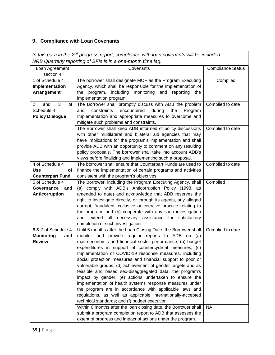# <span id="page-39-0"></span>**9. Compliance with Loan Covenants**

| In this para in the $2^{nd}$ progress report, compliance with loan covenants will be included |  |  |  |  |  |  |  |
|-----------------------------------------------------------------------------------------------|--|--|--|--|--|--|--|
|                                                                                               |  |  |  |  |  |  |  |
| <b>Compliance Status</b>                                                                      |  |  |  |  |  |  |  |
|                                                                                               |  |  |  |  |  |  |  |
| Complied                                                                                      |  |  |  |  |  |  |  |
|                                                                                               |  |  |  |  |  |  |  |
|                                                                                               |  |  |  |  |  |  |  |
|                                                                                               |  |  |  |  |  |  |  |
| Complied to date                                                                              |  |  |  |  |  |  |  |
|                                                                                               |  |  |  |  |  |  |  |
|                                                                                               |  |  |  |  |  |  |  |
|                                                                                               |  |  |  |  |  |  |  |
| Complied to date                                                                              |  |  |  |  |  |  |  |
|                                                                                               |  |  |  |  |  |  |  |
|                                                                                               |  |  |  |  |  |  |  |
|                                                                                               |  |  |  |  |  |  |  |
|                                                                                               |  |  |  |  |  |  |  |
|                                                                                               |  |  |  |  |  |  |  |
| Complied to date                                                                              |  |  |  |  |  |  |  |
|                                                                                               |  |  |  |  |  |  |  |
|                                                                                               |  |  |  |  |  |  |  |
| Complied                                                                                      |  |  |  |  |  |  |  |
|                                                                                               |  |  |  |  |  |  |  |
|                                                                                               |  |  |  |  |  |  |  |
|                                                                                               |  |  |  |  |  |  |  |
|                                                                                               |  |  |  |  |  |  |  |
|                                                                                               |  |  |  |  |  |  |  |
|                                                                                               |  |  |  |  |  |  |  |
|                                                                                               |  |  |  |  |  |  |  |
| Complied to date                                                                              |  |  |  |  |  |  |  |
|                                                                                               |  |  |  |  |  |  |  |
|                                                                                               |  |  |  |  |  |  |  |
|                                                                                               |  |  |  |  |  |  |  |
|                                                                                               |  |  |  |  |  |  |  |
|                                                                                               |  |  |  |  |  |  |  |
|                                                                                               |  |  |  |  |  |  |  |
|                                                                                               |  |  |  |  |  |  |  |
|                                                                                               |  |  |  |  |  |  |  |
|                                                                                               |  |  |  |  |  |  |  |
|                                                                                               |  |  |  |  |  |  |  |
|                                                                                               |  |  |  |  |  |  |  |
| <b>NA</b>                                                                                     |  |  |  |  |  |  |  |
|                                                                                               |  |  |  |  |  |  |  |
|                                                                                               |  |  |  |  |  |  |  |
|                                                                                               |  |  |  |  |  |  |  |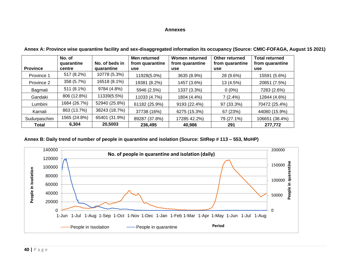#### **Annexes**

| <b>Province</b> | No. of<br>quarantine<br>centre | No. of beds in<br>quarantine | Men returned<br>from quarantine<br><b>use</b> | Women returned<br>from quarantine<br>use | Other returned<br>from quarantine<br>use | <b>Total returned</b><br>from quarantine<br>use |
|-----------------|--------------------------------|------------------------------|-----------------------------------------------|------------------------------------------|------------------------------------------|-------------------------------------------------|
| Province 1      | 517 (8.2%)                     | 10778 (5.3%)                 | 11928(5.0%)                                   | 3635 (8.9%)                              | 28 (9.6%)                                | 15591 (5.6%)                                    |
| Province 2      | 358 (5.7%)                     | 16518 (8.1%)                 | 19381 (8.2%)                                  | 1457 (3.6%)                              | 13 (4.5%)                                | 20851 (7.5%)                                    |
| Bagmati         | 511 (8.1%)                     | 9784 (4.8%)                  | 5946 (2.5%)                                   | 1337 (3.3%)                              | $0(0\%)$                                 | 7283 (2.6%)                                     |
| Gandaki         | 806 (12.8%)                    | 11339(5.5%)                  | 11033 (4.7%)                                  | 1804 (4.4%)                              | 7(2.4%)                                  | 12844 (4.6%)                                    |
| Lumbini         | 1684 (26.7%)                   | 52940 (25.8%)                | 61182 (25.9%)                                 | 9193 (22.4%)                             | 97 (33.3%)                               | 70472 (25.4%)                                   |
| Karnali         | 863 (13.7%)                    | 38243 (18.7%)                | 37738 (16%)                                   | 6275 (15.3%)                             | 67 (23%)                                 | 44080 (15.9%)                                   |
| Sudurpaschim    | 1565 (24.8%)                   | 65401 (31.9%)                | 89287 (37.8%)                                 | 17285 42.2%)                             | 79 (27.1%)                               | 106651 (38.4%)                                  |
| Total           | 6,304                          | 20,5003                      | 236,495                                       | 40,986                                   | 291                                      | 277,772                                         |

**Annex A: Province wise quarantine facility and sex-disaggregated information its occupancy (Source: CMIC-FOFAGA, August 15 2021)**

# <span id="page-40-0"></span>**Annex B: Daily trend of number of people in quarantine and isolation (Source: SitRep # 113 – 553, MoHP)**

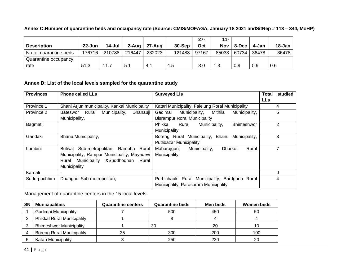|                        |            |        |           |        |        | $27 -$ | $11 -$ |       |       |        |
|------------------------|------------|--------|-----------|--------|--------|--------|--------|-------|-------|--------|
| <b>Description</b>     | $22 - Jun$ | 14-Jul | $2 - Aug$ | 27-Aug | 30-Sep | Oct    | Nov    | 8-Dec | 4-Jan | 18-Jan |
| No. of quarantine beds | 76716      | 210788 | 216447    | 232023 | 121488 | 97167  | 85033  | 60734 | 36478 | 36478  |
| Quarantine occupancy   |            |        |           |        |        |        |        |       |       |        |
| rate                   | 51.3       | 11.7   | 5.1       | 4.1    | 4.5    | 3.0    | 1.3    | 0.9   | 0.9   | 0.6    |

**Annex C:Number of quarantine beds and occupancy rate** (**Source: CMIS/MOFAGA, January 18 2021 andSitRep # 113 – 344, MoHP)**

# **Annex D: List of the local levels sampled for the quarantine study**

| <b>Provinces</b> | <b>Phone called LLs</b>                        | <b>Surveyed LIs</b>                                     | studied<br>Total |
|------------------|------------------------------------------------|---------------------------------------------------------|------------------|
|                  |                                                |                                                         | <b>LLs</b>       |
| Province 1       | Shani Arjun municipality, Kankai Municipality  | Katari Municipality, Falelung Roral Municipality        | 4                |
| Province 2       | Rural<br>Municipality,<br>Bateswor<br>Dhanauji | Gadimai<br>Municipality,<br>Mithila<br>Municipality,    | 5                |
|                  | Municipality,                                  | <b>Bisrampur Roral Municipality</b>                     |                  |
| Bagmati          |                                                | Phikkal<br>Rural<br>Municipality,<br>Bhimeshwor         | $\overline{2}$   |
|                  |                                                | Municipality                                            |                  |
| Gandaki          | Bhanu Municipality,                            | Municipality,<br>Municipality,<br>Bhanu<br>Boreng Rural | 3                |
|                  |                                                | <b>Putlibazar Municipality</b>                          |                  |
| Lumbini          | Sub-metropolitan, Rambha<br>Rural<br>Butwal    | Rural<br><b>Dhurkot</b><br>Maharajgunj<br>Municipality, | 7                |
|                  | Municipality, Rampur Municipality, Mayadevi    | Municipality,                                           |                  |
|                  | Municipality &Suddhodhan<br>Rural<br>Rural     |                                                         |                  |
|                  | Municipality                                   |                                                         |                  |
| Karnali          | -                                              | $\overline{\phantom{0}}$                                | 0                |
| Sudurpachhim     | Dhangadi Sub-metropolitan,                     | Purbichauki Rural Municipality, Bardgoria Rural         | 4                |
|                  |                                                | Municipality, Parasuram Municipality                    |                  |

Management of quarantine centers in the 15 local levels

| <b>SN</b> | <b>Municipalities</b>             | <b>Quarantine centers</b> | <b>Quarantine beds</b> | Men beds | Women beds |
|-----------|-----------------------------------|---------------------------|------------------------|----------|------------|
|           | Gadimai Municipality              |                           | 500                    | 450      | 50         |
|           | <b>Phikkal Rural Municipality</b> |                           |                        |          |            |
|           | <b>Bhimeshwor Municipality</b>    |                           | 30                     | 20       | 10         |
|           | <b>Boreng Rural Municipality</b>  | 35                        | 300                    | 200      | 100        |
|           | Katari Municipality               |                           | 250                    | 230      | 20         |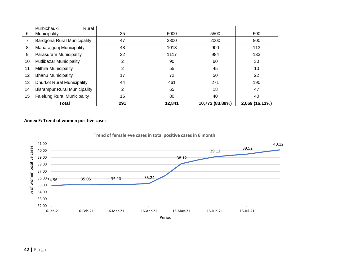|    | Total                                | 291 | 12.841 | 10,772 (83.89%) | 2,069 (16.11%) |
|----|--------------------------------------|-----|--------|-----------------|----------------|
| 15 | <b>Falelung Rural Municipality</b>   | 15  | 80     | 40              | 40             |
| 14 | <b>Bisrampur Rural Municipality</b>  | っ   | 65     | 18              | 47             |
| 13 | <b>Dhurkot Rural Municipality</b>    | 44  | 461    | 271             | 190            |
| 12 | <b>Bhanu Municipality</b>            | 17  | 72     | 50              | 22             |
| 11 | Mithila Municipality                 | ⌒   | 55     | 45              | 10             |
| 10 | <b>Putlibazar Municipality</b>       | 2   | 90     | 60              | 30             |
| 9  | Parasuram Municipality               | 32  | 1117   | 984             | 133            |
| 8  | Maharajgunj Municipality             | 48  | 1013   | 900             | 113            |
|    | Bardgoria Rural Municipality         | 47  | 2800   | 2000            | 800            |
| 6  | Purbichauki<br>Rural<br>Municipality | 35  | 6000   | 5500            | 500            |

### **Annex E: Trend of women positive cases**

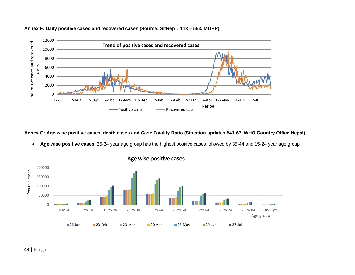



#### **Annex G: Age wise positive cases, death cases and Case Fatality Ratio (Situation updates #41-67, WHO Country Office Nepal)**



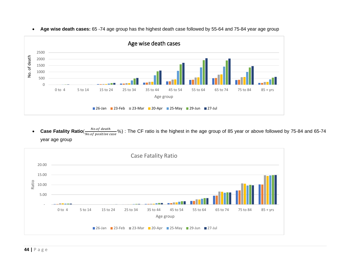

• **Age wise death cases:** 65 -74 age group has the highest death case followed by 55-64 and 75-84 year age group

**Case Fatality Ratio** (*No.of death*)  $\frac{100.01 \text{ decimal}}{0.05 \text{ positive case}}$ %) : The CF ratio is the highest in the age group of 85 year or above followed by 75-84 and 65-74 year age group

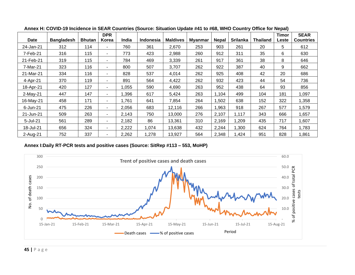|            |                   |               | <b>DPR</b>               |              |                  |                 |                |              |          |                 | Timor | <b>SEAR</b>      |
|------------|-------------------|---------------|--------------------------|--------------|------------------|-----------------|----------------|--------------|----------|-----------------|-------|------------------|
| Date       | <b>Bangladesh</b> | <b>Bhutan</b> | Korea                    | <b>India</b> | <b>Indonesia</b> | <b>Maldives</b> | <b>Myanmar</b> | <b>Nepal</b> | Srilanka | <b>Thailand</b> | Leste | <b>Countries</b> |
| 24-Jan-21  | 312               | 114           | $\overline{\phantom{a}}$ | 760          | 361              | 2,670           | 253            | 903          | 261      | 20              | 5     | 612              |
| 7-Feb-21   | 316               | 115           | $\sim$                   | 773          | 423              | 2,988           | 260            | 912          | 311      | 35              | 6     | 630              |
| 21-Feb-21  | 319               | 115           | $\sim$                   | 784          | 469              | 3,339           | 261            | 917          | 361      | 38              | 8     | 646              |
| 7-Mar-21   | 323               | 116           | $\sim$                   | 800          | 507              | 3,707           | 262            | 922          | 387      | 40              | 9     | 662              |
| 21-Mar-21  | 334               | 116           | $\overline{\phantom{a}}$ | 828          | 537              | 4,014           | 262            | 925          | 408      | 42              | 20    | 686              |
| 4-Apr-21   | 370               | 119           | $\sim$                   | 891          | 564              | 4,422           | 262            | 932          | 423      | 44              | 54    | 736              |
| 18-Apr-21  | 420               | 127           | $\sim$                   | 1,055        | 590              | 4,690           | 263            | 952          | 438      | 64              | 93    | 856              |
| $2-May-21$ | 447               | 147           | $\sim$                   | 1,396        | 617              | 5,424           | 263            | 1,104        | 499      | 104             | 181   | 1,097            |
| 16-May-21  | 458               | 171           | ۰                        | 1,761        | 641              | 7,854           | 264            | .502         | 638      | 152             | 322   | 1,358            |
| 6-Jun-21   | 475               | 226           | $\sim$                   | 2,056        | 683              | 12,116          | 266            | ,963         | 918      | 267             | 577   | 1,579            |
| 21-Jun-21  | 509               | 263           | $\sim$                   | 2,143        | 750              | 13,000          | 276            | 2,107        | 1,117    | 343             | 666   | 1,657            |
| 5-Jul-21   | 561               | 289           | $\sim$                   | 2,182        | 86               | 13,361          | 310            | 2,169        | 1,209    | 435             | 717   | 1,607            |
| 18-Jul-21  | 656               | 324           | $\overline{\phantom{a}}$ | 2,222        | 1,074            | 13,638          | 432            | 2,244        | 1,300    | 624             | 764   | 1,783            |
| 2-Aug-21   | 752               | 337           | $\sim$                   | 2,262        | 1,278            | 13,927          | 564            | 2,348        | 1,424    | 951             | 828   | 1,861            |

**Annex H: COVID-19 Incidence in SEAR Countries (Source: Situation Update #41 to #68, WHO Country Office for Nepal)**

**Annex I:Daily RT-PCR tests and positive cases (Source: SitRep #113 – 553, MoHP)**

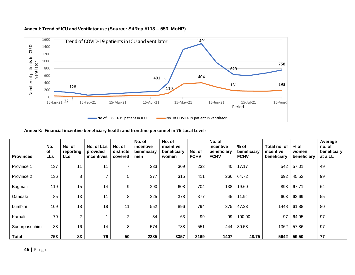

#### **Annex J: Trend of ICU and Ventilator use (Source: SitRep #113 – 553, MoHP)**

**Annex K: Financial incentive beneficiary health and frontline personnel in 76 Local Levels**

| <b>Provinces</b> | No.<br><b>of</b><br><b>LLs</b> | No. of<br>reporting<br><b>LLs</b> | No. of LLs<br>provided<br>incentives | No. of<br>districts<br>covered | No. of<br>incentive<br>beneficiary<br>men | No. of<br>incentive<br>beneficiary<br>women | No. of<br><b>FCHV</b> | No. of<br>incentive<br>beneficiary<br><b>FCHV</b> | $%$ of<br>beneficiary<br><b>FCHV</b> | Total no, of<br>incentive<br>beneficiary | $%$ of<br>women<br>beneficiary | Average<br>no. of<br>beneficiary<br>at a LL |
|------------------|--------------------------------|-----------------------------------|--------------------------------------|--------------------------------|-------------------------------------------|---------------------------------------------|-----------------------|---------------------------------------------------|--------------------------------------|------------------------------------------|--------------------------------|---------------------------------------------|
| Province 1       | 137                            | 11                                | 11                                   | ⇁                              | 233                                       | 309                                         | 233                   | 40                                                | 17.17                                | 542                                      | 57.01                          | 49                                          |
| Province 2       | 136                            | 8                                 | ⇁                                    | 5                              | 377                                       | 315                                         | 411                   | 266                                               | 64.72                                | 692                                      | 45.52                          | 99                                          |
| Bagmati          | 119                            | 15                                | 14                                   | 9                              | 290                                       | 608                                         | 704                   | 138                                               | 19.60                                | 898                                      | 67.71                          | 64                                          |
| Gandaki          | 85                             | 13                                | 11                                   | 8                              | 225                                       | 378                                         | 377                   | 45                                                | 11.94                                | 603                                      | 62.69                          | 55                                          |
| Lumbini          | 109                            | 18                                | 18                                   | 11                             | 552                                       | 896                                         | 794                   | 375                                               | 47.23                                | 1448                                     | 61.88                          | 80                                          |
| Karnali          | 79                             | $\overline{2}$                    |                                      | $\overline{2}$                 | 34                                        | 63                                          | 99                    | 99                                                | 100.00                               | 97                                       | 64.95                          | 97                                          |
| Sudurpaschhim    | 88                             | 16                                | 14                                   | 8                              | 574                                       | 788                                         | 551                   | 444                                               | 80.58                                | 1362                                     | 57.86                          | 97                                          |
| <b>Total</b>     | 753                            | 83                                | 76                                   | 50                             | 2285                                      | 3357                                        | 3169                  | 1407                                              | 48.75                                | 5642                                     | 59.50                          | 77                                          |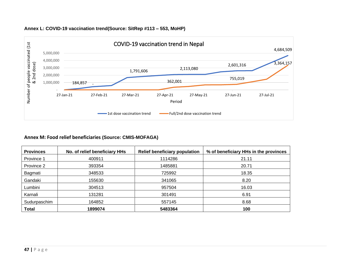

# **Annex L: COVID-19 vaccination trend(Source: SitRep #113 – 553, MoHP)**

# **Annex M: Food relief beneficiaries (Source: CMIS-MOFAGA)**

| <b>Provinces</b> | No. of relief beneficiary HHs | <b>Relief beneficiary population</b> | % of beneficiary HHs in the provinces |
|------------------|-------------------------------|--------------------------------------|---------------------------------------|
| Province 1       | 400911                        | 1114286                              | 21.11                                 |
| Province 2       | 393354                        | 1485881                              | 20.71                                 |
| Bagmati          | 348533                        | 725992                               | 18.35                                 |
| Gandaki          | 155630                        | 341065                               | 8.20                                  |
| Lumbini          | 304513                        | 957504                               | 16.03                                 |
| Karnali          | 131281                        | 301491                               | 6.91                                  |
| Sudurpaschim     | 164852                        | 557145                               | 8.68                                  |
| <b>Total</b>     | 1899074                       | 5483364                              | 100                                   |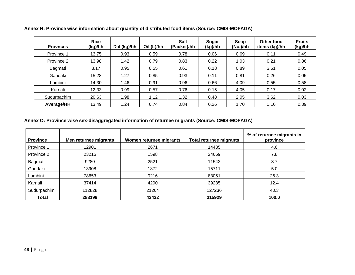| <b>Provnces</b> | <b>Rice</b><br>(kg)/hh | Dal (kg)/hh | Oil (L)/hh | <b>Salt</b><br>(Packet)/hh | Sugar<br>(kg)/hh | Soap<br>(No.)/hh | Other food<br>items (kg)/hh | <b>Fruits</b><br>(kg)/hh |
|-----------------|------------------------|-------------|------------|----------------------------|------------------|------------------|-----------------------------|--------------------------|
| Province 1      | 13.75                  | 0.93        | 0.59       | 0.78                       | 0.06             | 0.69             | 0.11                        | 0.49                     |
| Province 2      | 13.98                  | 1.42        | 0.79       | 0.83                       | 0.22             | 1.03             | 0.21                        | 0.86                     |
| Bagmati         | 8.17                   | 0.95        | 0.55       | 0.61                       | 0.18             | 0.89             | 3.61                        | 0.05                     |
| Gandaki         | 15.28                  | 1.27        | 0.85       | 0.93                       | 0.11             | 0.81             | 0.26                        | 0.05                     |
| Lumbini         | 14.30                  | 1.46        | 0.91       | 0.96                       | 0.66             | 4.09             | 0.55                        | 0.58                     |
| Karnali         | 12.33                  | 0.99        | 0.57       | 0.76                       | 0.15             | 4.05             | 0.17                        | 0.02                     |
| Sudurpachim     | 20.63                  | 1.98        | 1.12       | 1.32                       | 0.48             | 2.05             | 3.62                        | 0.03                     |
| Average/HH      | 13.49                  | 1.24        | 0.74       | 0.84                       | 0.26             | 1.70             | 1.16                        | 0.39                     |

**Annex N: Province wise information about quantity of distributed food items (Source: CMIS-MOFAGA)**

# **Annex O: Province wise sex-disaggregated information of returnee migrants (Source: CMIS-MOFAGA)**

| <b>Province</b> | Men returnee migrants | Women returnee migrants | <b>Total returnee migrants</b> | % of returnee migrants in<br>province |
|-----------------|-----------------------|-------------------------|--------------------------------|---------------------------------------|
| Province 1      | 12901                 | 2671                    | 14435                          | 4.6                                   |
| Province 2      | 23215                 | 1598                    | 24669                          | 7.8                                   |
| Bagmati         | 9280                  | 2521                    | 11542                          | 3.7                                   |
| Gandaki         | 13908                 | 1872                    | 15711                          | 5.0                                   |
| Lumbini         | 78653                 | 9216                    | 83051                          | 26.3                                  |
| Karnali         | 37414                 | 4290                    | 39285                          | 12.4                                  |
| Sudurpachim     | 112828                | 21264                   | 127236                         | 40.3                                  |
| Total           | 288199                | 43432                   | 315929                         | 100.0                                 |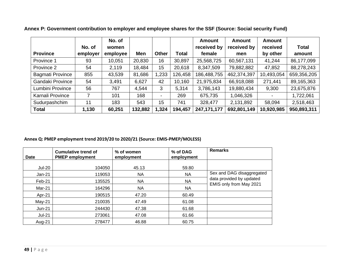|                         |          | No. of   |         |       |              | Amount        | Amount      | Amount     |              |
|-------------------------|----------|----------|---------|-------|--------------|---------------|-------------|------------|--------------|
|                         | No. of   | women    |         |       |              | received by   | received by | received   | <b>Total</b> |
| <b>Province</b>         | employer | employee | Men     | Other | <b>Total</b> | female        | men         | by other   | amount       |
| Province 1              | 93       | 10,051   | 20,830  | 16    | 30,897       | 25,568,725    | 60,567,131  | 41,244     | 86,177,099   |
| Province 2              | 54       | 2,119    | 18,484  | 15    | 20,618       | 8,347,509     | 79,882,882  | 47,852     | 88,278,243   |
| <b>Bagmati Province</b> | 855      | 43,539   | 81,686  | 1,233 | 126,458      | 186,488,755   | 462,374,397 | 10,493,054 | 659,356,205  |
| Gandaki Province        | 54       | 3,491    | 6,627   | 42    | 10,160       | 21,975,834    | 66,918,088  | 271,441    | 89,165,363   |
| Lumbini Province        | 56       | 767      | 4,544   | 3     | 5,314        | 3,786,143     | 19,880,434  | 9,300      | 23,675,876   |
| Karnali Province        | 7        | 101      | 168     |       | 269          | 675,735       | 1,046,326   |            | 1,722,061    |
| Sudurpashchim           | 11       | 183      | 543     | 15    | 741          | 328,477       | 2,131,892   | 58,094     | 2,518,463    |
| <b>Total</b>            | 1,130    | 60,251   | 132,882 | 1,324 | 194,457      | 247, 171, 177 | 692,801,149 | 10,920,985 | 950,893,311  |

**Annex P: Government contribution to employer and employee shares for the SSF (Source: Social security Fund)**

# **Annex Q: PMEP employment trend 2019/20 to 2020/21 (Source: EMIS-PMEP/MOLESS)**

| Date          | <b>Cumulative trend of</b><br><b>PMEP employment</b> | % of women<br>employment | % of DAG<br>employment | <b>Remarks</b>            |
|---------------|------------------------------------------------------|--------------------------|------------------------|---------------------------|
| <b>Jul-20</b> | 104050                                               | 45.13                    | 59.80                  |                           |
| $Jan-21$      | 119053                                               | <b>NA</b>                | <b>NA</b>              | Sex and DAG disaggregated |
| Feb-21        | 135525                                               | <b>NA</b>                | <b>NA</b>              | data provided by updated  |
| Mar-21        | 164296                                               | <b>NA</b>                | <b>NA</b>              | EMIS only from May 2021   |
| Apr-21        | 190515                                               | 47.20                    | 60.49                  |                           |
| $May-21$      | 210035                                               | 47.49                    | 61.08                  |                           |
| $Jun-21$      | 244430                                               | 47.38                    | 61.68                  |                           |
| <b>Jul-21</b> | 273061                                               | 47.08                    | 61.66                  |                           |
| Aug-21        | 278477                                               | 46.88                    | 60.75                  |                           |